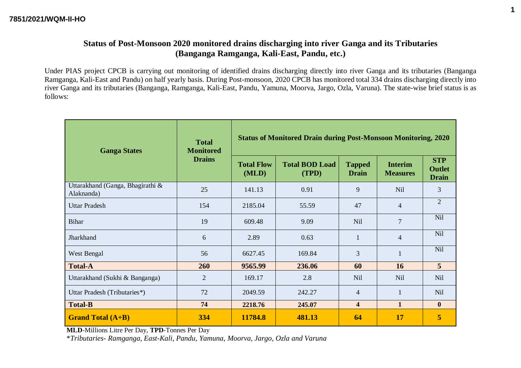#### **Status of Post-Monsoon 2020 monitored drains discharging into river Ganga and its Tributaries (Banganga Ramganga, Kali-East, Pandu, etc.)**

Under PIAS project CPCB is carrying out monitoring of identified drains discharging directly into river Ganga and its tributaries (Banganga Ramganga, Kali-East and Pandu) on half yearly basis. During Post-monsoon, 2020 CPCB has monitored total 334 drains discharging directly into river Ganga and its tributaries (Banganga, Ramganga, Kali-East, Pandu, Yamuna, Moorva, Jargo, Ozla, Varuna). The state-wise brief status is as follows:

| <b>Ganga States</b>                            | <b>Total</b><br><b>Monitored</b> | <b>Status of Monitored Drain during Post-Monsoon Monitoring, 2020</b> |                                |                               |                                   |                                             |  |  |  |
|------------------------------------------------|----------------------------------|-----------------------------------------------------------------------|--------------------------------|-------------------------------|-----------------------------------|---------------------------------------------|--|--|--|
|                                                | <b>Drains</b>                    | <b>Total Flow</b><br>(MLD)                                            | <b>Total BOD Load</b><br>(TPD) | <b>Tapped</b><br><b>Drain</b> | <b>Interim</b><br><b>Measures</b> | <b>STP</b><br><b>Outlet</b><br><b>Drain</b> |  |  |  |
| Uttarakhand (Ganga, Bhagirathi &<br>Alaknanda) | 25                               | 141.13                                                                | 0.91                           | 9                             | <b>Nil</b>                        | 3                                           |  |  |  |
| <b>Uttar Pradesh</b>                           | 154                              | 2185.04                                                               | 55.59                          | 47                            | $\overline{4}$                    | $\overline{2}$                              |  |  |  |
| Bihar                                          | 19                               | 609.48                                                                | 9.09                           | <b>Nil</b>                    | $\overline{7}$                    | <b>Nil</b>                                  |  |  |  |
| Jharkhand                                      | 6                                | 2.89                                                                  | 0.63                           | 1                             | $\overline{4}$                    | <b>Nil</b>                                  |  |  |  |
| West Bengal                                    | 56                               | 6627.45                                                               | 169.84                         | 3                             | $\mathbf{1}$                      | Nil                                         |  |  |  |
| <b>Total-A</b>                                 | 260                              | 9565.99                                                               | 236.06                         | 60                            | 16                                | 5                                           |  |  |  |
| Uttarakhand (Sukhi & Banganga)                 | $\overline{2}$                   | 169.17                                                                | 2.8                            | N <sub>il</sub>               | N <sub>il</sub>                   | Nil                                         |  |  |  |
| Uttar Pradesh (Tributaries*)                   | 72                               | 2049.59                                                               | 242.27                         | $\overline{4}$                | $\mathbf{1}$                      | <b>Nil</b>                                  |  |  |  |
| <b>Total-B</b>                                 | 74                               | 2218.76                                                               | 245.07                         | $\overline{\mathbf{4}}$       | $\mathbf{1}$                      | $\bf{0}$                                    |  |  |  |
| <b>Grand Total (A+B)</b>                       | 334                              | 11784.8                                                               | 481.13                         | 64                            | 17                                | 5                                           |  |  |  |

**MLD**-Millions Litre Per Day, **TPD**-Tonnes Per Day

\**Tributaries- Ramganga, East-Kali, Pandu, Yamuna, Moorva, Jargo, Ozla and Varuna*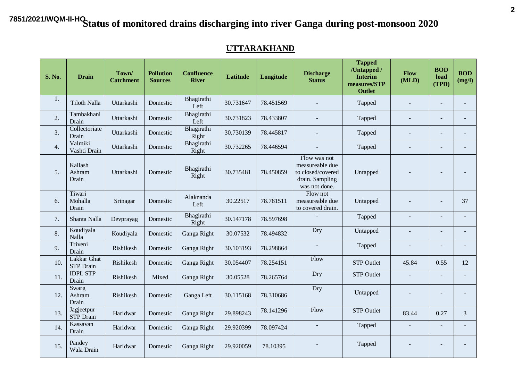#### **UTTARAKHAND**

| <b>S. No.</b>    | <b>Drain</b>                           | Town/<br><b>Catchment</b> | <b>Pollution</b><br><b>Sources</b> | <b>Confluence</b><br><b>River</b> | Latitude  | Longitude | <b>Discharge</b><br><b>Status</b>                                                        | <b>Tapped</b><br>/Untapped /<br><b>Interim</b><br>measures/STP<br><b>Outlet</b> | Flow<br>(MLD)            | <b>BOD</b><br>load<br>(TPD) | <b>BOD</b><br>(mg/l) |
|------------------|----------------------------------------|---------------------------|------------------------------------|-----------------------------------|-----------|-----------|------------------------------------------------------------------------------------------|---------------------------------------------------------------------------------|--------------------------|-----------------------------|----------------------|
| 1.               | Tiloth Nalla                           | Uttarkashi                | Domestic                           | Bhagirathi<br>Left                | 30.731647 | 78.451569 |                                                                                          | Tapped                                                                          |                          |                             |                      |
| 2.               | Tambakhani<br>Drain                    | Uttarkashi                | Domestic                           | Bhagirathi<br>Left                | 30.731823 | 78.433807 |                                                                                          | Tapped                                                                          |                          |                             |                      |
| 3.               | Collectoriate<br>Drain                 | Uttarkashi                | Domestic                           | Bhagirathi<br>Right               | 30.730139 | 78.445817 |                                                                                          | Tapped                                                                          |                          | $\overline{a}$              |                      |
| $\overline{4}$ . | Valmiki<br>Vashti Drain                | Uttarkashi                | Domestic                           | Bhagirathi<br>Right               | 30.732265 | 78.446594 |                                                                                          | Tapped                                                                          |                          |                             |                      |
| 5 <sub>1</sub>   | Kailash<br>Ashram<br>Drain             | Uttarkashi                | Domestic                           | Bhagirathi<br>Right               | 30.735481 | 78.450859 | Flow was not<br>measureable due<br>to closed/covered<br>drain. Sampling<br>was not done. | Untapped                                                                        |                          |                             |                      |
| 6.               | Tiwari<br>Mohalla<br>Drain             | Srinagar                  | Domestic                           | Alaknanda<br>Left                 | 30.22517  | 78.781511 | Flow not<br>measureable due<br>to covered drain.                                         | Untapped                                                                        |                          |                             | 37                   |
| 7.               | Shanta Nalla                           | Devprayag                 | Domestic                           | Bhagirathi<br>Right               | 30.147178 | 78.597698 |                                                                                          | Tapped                                                                          | $\overline{\phantom{a}}$ |                             |                      |
| 8.               | Koudiyala<br>Nalla                     | Koudiyala                 | Domestic                           | Ganga Right                       | 30.07532  | 78.494832 | Dry                                                                                      | Untapped                                                                        |                          |                             |                      |
| 9.               | Triveni<br>Drain                       | Rishikesh                 | Domestic                           | Ganga Right                       | 30.103193 | 78.298864 | $\overline{\phantom{a}}$                                                                 | Tapped                                                                          |                          |                             |                      |
| 10.              | <b>Lakkar Ghat</b><br><b>STP</b> Drain | Rishikesh                 | Domestic                           | Ganga Right                       | 30.054407 | 78.254151 | Flow                                                                                     | <b>STP Outlet</b>                                                               | 45.84                    | 0.55                        | 12                   |
| 11.              | <b>IDPL STP</b><br>Drain               | Rishikesh                 | Mixed                              | Ganga Right                       | 30.05528  | 78.265764 | Dry                                                                                      | <b>STP Outlet</b>                                                               |                          |                             |                      |
| 12.              | Swarg<br>Ashram<br>Drain               | Rishikesh                 | Domestic                           | Ganga Left                        | 30.115168 | 78.310686 | Dry                                                                                      | Untapped                                                                        |                          |                             |                      |
| 13.              | Jagjeetpur<br><b>STP</b> Drain         | Haridwar                  | Domestic                           | Ganga Right                       | 29.898243 | 78.141296 | Flow                                                                                     | <b>STP Outlet</b>                                                               | 83.44                    | 0.27                        | 3                    |
| 14.              | Kassavan<br>Drain                      | Haridwar                  | Domestic                           | Ganga Right                       | 29.920399 | 78.097424 | $\sim$                                                                                   | Tapped                                                                          | $\overline{\phantom{a}}$ | $\overline{a}$              |                      |
| 15.              | Pandey<br>Wala Drain                   | Haridwar                  | Domestic                           | Ganga Right                       | 29.920059 | 78.10395  |                                                                                          | Tapped                                                                          |                          |                             |                      |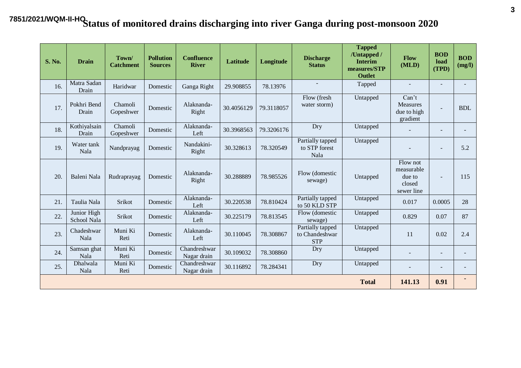| <b>S. No.</b> | <b>Drain</b>               | Town/<br><b>Catchment</b> | <b>Pollution</b><br><b>Sources</b> | <b>Confluence</b><br><b>River</b> | Latitude   | Longitude  | <b>Discharge</b><br><b>Status</b>                | <b>Tapped</b><br>/Untapped /<br><b>Interim</b><br>measures/STP<br><b>Outlet</b> | Flow<br>(MLD)                                            | <b>BOD</b><br>load<br>(TPD) | <b>BOD</b><br>(mg/l) |
|---------------|----------------------------|---------------------------|------------------------------------|-----------------------------------|------------|------------|--------------------------------------------------|---------------------------------------------------------------------------------|----------------------------------------------------------|-----------------------------|----------------------|
| 16.           | Matra Sadan<br>Drain       | Haridwar                  | Domestic                           | Ganga Right                       | 29.908855  | 78.13976   |                                                  | Tapped                                                                          |                                                          |                             |                      |
| 17.           | Pokhri Bend<br>Drain       | Chamoli<br>Gopeshwer      | Domestic                           | Alaknanda-<br>Right               | 30.4056129 | 79.3118057 | Flow (fresh<br>water storm)                      | Untapped                                                                        | Can't<br><b>Measures</b><br>due to high<br>gradient      | $\blacksquare$              | <b>BDL</b>           |
| 18.           | Kothiyalsain<br>Drain      | Chamoli<br>Gopeshwer      | Domestic                           | Alaknanda-<br>Left                | 30.3968563 | 79.3206176 | Dry                                              | Untapped                                                                        |                                                          |                             |                      |
| 19.           | Water tank<br>Nala         | Nandprayag                | Domestic                           | Nandakini-<br>Right               | 30.328613  | 78.320549  | Partially tapped<br>to STP forest<br>Nala        | Untapped                                                                        |                                                          |                             | 5.2                  |
| 20.           | Baleni Nala                | Rudraprayag               | Domestic                           | Alaknanda-<br>Right               | 30.288889  | 78.985526  | Flow (domestic<br>sewage)                        | Untapped                                                                        | Flow not<br>measurable<br>due to<br>closed<br>sewer line | $\overline{\phantom{a}}$    | 115                  |
| 21.           | Taulia Nala                | Srikot                    | Domestic                           | Alaknanda-<br>Left                | 30.220538  | 78.810424  | Partially tapped<br>to 50 KLD STP                | Untapped                                                                        | 0.017                                                    | 0.0005                      | 28                   |
| 22.           | Junior High<br>School Nala | Srikot                    | Domestic                           | Alaknanda-<br>Left                | 30.225179  | 78.813545  | Flow (domestic<br>sewage)                        | Untapped                                                                        | 0.829                                                    | 0.07                        | 87                   |
| 23.           | Chadeshwar<br>Nala         | Muni Ki<br>Reti           | Domestic                           | Alaknanda-<br>Left                | 30.110045  | 78.308867  | Partially tapped<br>to Chandeshwar<br><b>STP</b> | Untapped                                                                        | 11                                                       | 0.02                        | 2.4                  |
| 24.           | Samsan ghat<br>Nala        | Muni Ki<br>Reti           | Domestic                           | Chandreshwar<br>Nagar drain       | 30.109032  | 78.308860  | Dry                                              | Untapped                                                                        |                                                          |                             |                      |
| 25.           | Dhalwala<br>Nala           | Muni Ki<br>Reti           | Domestic                           | Chandreshwar<br>Nagar drain       | 30.116892  | 78.284341  | Dry                                              | Untapped                                                                        |                                                          |                             |                      |
|               |                            |                           |                                    |                                   |            |            |                                                  | <b>Total</b>                                                                    | 141.13                                                   | 0.91                        |                      |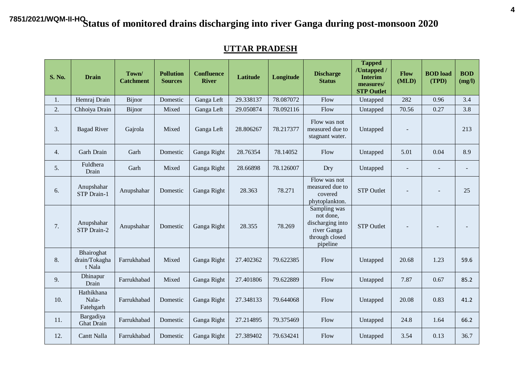#### **UTTAR PRADESH**

| <b>S. No.</b> | <b>Drain</b>                          | Town/<br><b>Catchment</b> | <b>Pollution</b><br><b>Sources</b> | <b>Confluence</b><br><b>River</b> | Latitude  | Longitude | <b>Discharge</b><br><b>Status</b>                                                          | <b>Tapped</b><br>/Untapped /<br><b>Interim</b><br>measures/<br><b>STP Outlet</b> | <b>Flow</b><br>(MLD) | <b>BOD</b> load<br>(TPD) | <b>BOD</b><br>(mg/l) |
|---------------|---------------------------------------|---------------------------|------------------------------------|-----------------------------------|-----------|-----------|--------------------------------------------------------------------------------------------|----------------------------------------------------------------------------------|----------------------|--------------------------|----------------------|
| 1.            | Hemraj Drain                          | Bijnor                    | Domestic                           | Ganga Left                        | 29.338137 | 78.087072 | Flow                                                                                       | Untapped                                                                         | 282                  | 0.96                     | 3.4                  |
| 2.            | Chhoiya Drain                         | Bijnor                    | Mixed                              | Ganga Left                        | 29.050874 | 78.092116 | Flow                                                                                       | Untapped                                                                         | 70.56                | 0.27                     | 3.8                  |
| 3.            | <b>Bagad River</b>                    | Gajrola                   | Mixed                              | Ganga Left                        | 28.806267 | 78.217377 | Flow was not<br>measured due to<br>stagnant water.                                         | Untapped                                                                         |                      |                          | 213                  |
| 4.            | Garh Drain                            | Garh                      | Domestic                           | Ganga Right                       | 28.76354  | 78.14052  | Flow                                                                                       | Untapped                                                                         | 5.01                 | 0.04                     | 8.9                  |
| 5.            | Fuldhera<br>Drain                     | Garh                      | Mixed                              | Ganga Right                       | 28.66898  | 78.126007 | Dry                                                                                        | Untapped                                                                         |                      |                          |                      |
| 6.            | Anupshahar<br>STP Drain-1             | Anupshahar                | Domestic                           | Ganga Right                       | 28.363    | 78.271    | Flow was not<br>measured due to<br>covered<br>phytoplankton.                               | <b>STP Outlet</b>                                                                |                      |                          | 25                   |
| 7.            | Anupshahar<br>STP Drain-2             | Anupshahar                | Domestic                           | Ganga Right                       | 28.355    | 78.269    | Sampling was<br>not done,<br>discharging into<br>river Ganga<br>through closed<br>pipeline | <b>STP</b> Outlet                                                                |                      |                          |                      |
| 8.            | Bhairoghat<br>drain/Tokagha<br>t Nala | Farrukhabad               | Mixed                              | Ganga Right                       | 27.402362 | 79.622385 | Flow                                                                                       | Untapped                                                                         | 20.68                | 1.23                     | 59.6                 |
| 9.            | Dhinapur<br>Drain                     | Farrukhabad               | Mixed                              | Ganga Right                       | 27.401806 | 79.622889 | Flow                                                                                       | Untapped                                                                         | 7.87                 | 0.67                     | 85.2                 |
| 10.           | Hathikhana<br>Nala-<br>Fatehgarh      | Farrukhabad               | Domestic                           | Ganga Right                       | 27.348133 | 79.644068 | Flow                                                                                       | Untapped                                                                         | 20.08                | 0.83                     | 41.2                 |
| 11.           | Bargadiya<br><b>Ghat Drain</b>        | Farrukhabad               | Domestic                           | Ganga Right                       | 27.214895 | 79.375469 | Flow                                                                                       | Untapped                                                                         | 24.8                 | 1.64                     | 66.2                 |
| 12.           | Cantt Nalla                           | Farrukhabad               | Domestic                           | Ganga Right                       | 27.389402 | 79.634241 | Flow                                                                                       | Untapped                                                                         | 3.54                 | 0.13                     | 36.7                 |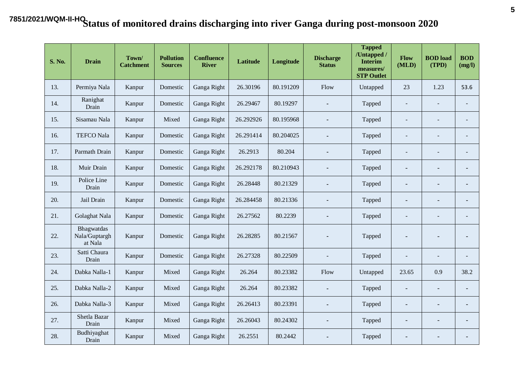| <b>S. No.</b> | <b>Drain</b>                           | Town/<br><b>Catchment</b> | <b>Pollution</b><br><b>Sources</b> | <b>Confluence</b><br><b>River</b> | <b>Latitude</b> | Longitude | <b>Discharge</b><br><b>Status</b> | <b>Tapped</b><br>/Untapped /<br><b>Interim</b><br>measures/<br><b>STP Outlet</b> | Flow<br>(MLD)            | <b>BOD</b> load<br>(TPD) | <b>BOD</b><br>(mg/l)     |
|---------------|----------------------------------------|---------------------------|------------------------------------|-----------------------------------|-----------------|-----------|-----------------------------------|----------------------------------------------------------------------------------|--------------------------|--------------------------|--------------------------|
| 13.           | Permiya Nala                           | Kanpur                    | Domestic                           | Ganga Right                       | 26.30196        | 80.191209 | Flow                              | Untapped                                                                         | 23                       | 1.23                     | 53.6                     |
| 14.           | Ranighat<br>Drain                      | Kanpur                    | Domestic                           | Ganga Right                       | 26.29467        | 80.19297  | $\blacksquare$                    | Tapped                                                                           | $\overline{\phantom{a}}$ | $\overline{a}$           | $\overline{a}$           |
| 15.           | Sisamau Nala                           | Kanpur                    | Mixed                              | Ganga Right                       | 26.292926       | 80.195968 | $\blacksquare$                    | Tapped                                                                           |                          |                          | $\overline{a}$           |
| 16.           | <b>TEFCO Nala</b>                      | Kanpur                    | Domestic                           | Ganga Right                       | 26.291414       | 80.204025 |                                   | Tapped                                                                           |                          |                          | $\overline{a}$           |
| 17.           | Parmath Drain                          | Kanpur                    | Domestic                           | Ganga Right                       | 26.2913         | 80.204    | ä,                                | Tapped                                                                           |                          |                          | $\overline{\phantom{0}}$ |
| 18.           | Muir Drain                             | Kanpur                    | Domestic                           | Ganga Right                       | 26.292178       | 80.210943 |                                   | Tapped                                                                           |                          |                          | $\overline{a}$           |
| 19.           | Police Line<br>Drain                   | Kanpur                    | Domestic                           | Ganga Right                       | 26.28448        | 80.21329  | $\blacksquare$                    | Tapped                                                                           |                          |                          | $\overline{a}$           |
| 20.           | Jail Drain                             | Kanpur                    | Domestic                           | Ganga Right                       | 26.284458       | 80.21336  | ä,                                | Tapped                                                                           |                          |                          | $\overline{a}$           |
| 21.           | Golaghat Nala                          | Kanpur                    | Domestic                           | Ganga Right                       | 26.27562        | 80.2239   |                                   | Tapped                                                                           |                          |                          | $\overline{a}$           |
| 22.           | Bhagwatdas<br>Nala/Guptargh<br>at Nala | Kanpur                    | Domestic                           | Ganga Right                       | 26.28285        | 80.21567  |                                   | Tapped                                                                           |                          | $\overline{\phantom{a}}$ | $\overline{a}$           |
| 23.           | Satti Chaura<br>Drain                  | Kanpur                    | Domestic                           | Ganga Right                       | 26.27328        | 80.22509  |                                   | Tapped                                                                           |                          |                          | $\bar{ }$                |
| 24.           | Dabka Nalla-1                          | Kanpur                    | Mixed                              | Ganga Right                       | 26.264          | 80.23382  | Flow                              | Untapped                                                                         | 23.65                    | 0.9                      | 38.2                     |
| 25.           | Dabka Nalla-2                          | Kanpur                    | Mixed                              | Ganga Right                       | 26.264          | 80.23382  |                                   | Tapped                                                                           |                          |                          | $\overline{\phantom{0}}$ |
| 26.           | Dabka Nalla-3                          | Kanpur                    | Mixed                              | Ganga Right                       | 26.26413        | 80.23391  |                                   | Tapped                                                                           |                          |                          | $\overline{\phantom{m}}$ |
| 27.           | Shetla Bazar<br>Drain                  | Kanpur                    | Mixed                              | Ganga Right                       | 26.26043        | 80.24302  |                                   | Tapped                                                                           |                          |                          | $\overline{a}$           |
| 28.           | Budhiyaghat<br>Drain                   | Kanpur                    | Mixed                              | Ganga Right                       | 26.2551         | 80.2442   |                                   | Tapped                                                                           |                          |                          | $\overline{\phantom{m}}$ |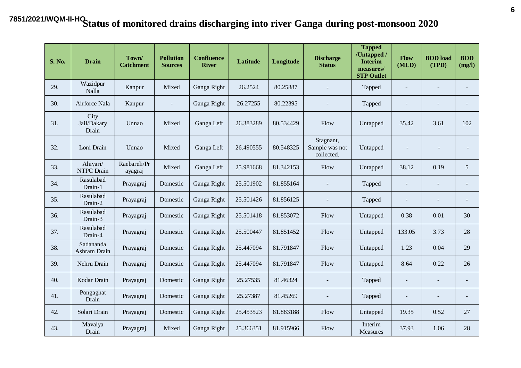| <b>S. No.</b> | <b>Drain</b>                  | Town/<br><b>Catchment</b> | <b>Pollution</b><br><b>Sources</b> | <b>Confluence</b><br><b>River</b> | <b>Latitude</b> | Longitude | <b>Discharge</b><br><b>Status</b>         | <b>Tapped</b><br>/Untapped /<br><b>Interim</b><br>measures/<br><b>STP Outlet</b> | Flow<br>(MLD)            | <b>BOD</b> load<br>(TPD) | <b>BOD</b><br>(mg/l)     |
|---------------|-------------------------------|---------------------------|------------------------------------|-----------------------------------|-----------------|-----------|-------------------------------------------|----------------------------------------------------------------------------------|--------------------------|--------------------------|--------------------------|
| 29.           | Wazidpur<br>Nalla             | Kanpur                    | Mixed                              | Ganga Right                       | 26.2524         | 80.25887  | $\blacksquare$                            | Tapped                                                                           | $\overline{\phantom{a}}$ | $\overline{\phantom{0}}$ | $\overline{\phantom{0}}$ |
| 30.           | Airforce Nala                 | Kanpur                    | $\blacksquare$                     | Ganga Right                       | 26.27255        | 80.22395  |                                           | Tapped                                                                           |                          |                          | $\overline{\phantom{a}}$ |
| 31.           | City<br>Jail/Dakary<br>Drain  | Unnao                     | Mixed                              | Ganga Left                        | 26.383289       | 80.534429 | Flow                                      | Untapped                                                                         | 35.42                    | 3.61                     | 102                      |
| 32.           | Loni Drain                    | Unnao                     | Mixed                              | Ganga Left                        | 26.490555       | 80.548325 | Stagnant,<br>Sample was not<br>collected. | Untapped                                                                         |                          | $\overline{\phantom{a}}$ | $\blacksquare$           |
| 33.           | Ahiyari/<br><b>NTPC</b> Drain | Raebareli/Pr<br>ayagraj   | Mixed                              | Ganga Left                        | 25.981668       | 81.342153 | Flow                                      | Untapped                                                                         | 38.12                    | 0.19                     | 5                        |
| 34.           | Rasulabad<br>Drain-1          | Prayagraj                 | Domestic                           | Ganga Right                       | 25.501902       | 81.855164 | $\blacksquare$                            | Tapped                                                                           | $\overline{a}$           | $\blacksquare$           | $\blacksquare$           |
| 35.           | Rasulabad<br>Drain-2          | Prayagraj                 | Domestic                           | Ganga Right                       | 25.501426       | 81.856125 | $\blacksquare$                            | Tapped                                                                           | $\overline{\phantom{a}}$ | $\sim$                   | $\blacksquare$           |
| 36.           | Rasulabad<br>Drain-3          | Prayagraj                 | Domestic                           | Ganga Right                       | 25.501418       | 81.853072 | Flow                                      | Untapped                                                                         | 0.38                     | 0.01                     | 30                       |
| 37.           | Rasulabad<br>Drain-4          | Prayagraj                 | Domestic                           | Ganga Right                       | 25.500447       | 81.851452 | Flow                                      | Untapped                                                                         | 133.05                   | 3.73                     | 28                       |
| 38.           | Sadananda<br>Ashram Drain     | Prayagraj                 | Domestic                           | Ganga Right                       | 25.447094       | 81.791847 | Flow                                      | Untapped                                                                         | 1.23                     | 0.04                     | 29                       |
| 39.           | Nehru Drain                   | Prayagraj                 | Domestic                           | Ganga Right                       | 25.447094       | 81.791847 | Flow                                      | Untapped                                                                         | 8.64                     | 0.22                     | 26                       |
| 40.           | Kodar Drain                   | Prayagraj                 | Domestic                           | Ganga Right                       | 25.27535        | 81.46324  | $\blacksquare$                            | Tapped                                                                           | $\overline{\phantom{a}}$ |                          | $\blacksquare$           |
| 41.           | Pongaghat<br>Drain            | Prayagraj                 | Domestic                           | Ganga Right                       | 25.27387        | 81.45269  | $\blacksquare$                            | Tapped                                                                           |                          | $\blacksquare$           | $\blacksquare$           |
| 42.           | Solari Drain                  | Prayagraj                 | Domestic                           | Ganga Right                       | 25.453523       | 81.883188 | Flow                                      | Untapped                                                                         | 19.35                    | 0.52                     | 27                       |
| 43.           | Mavaiya<br>Drain              | Prayagraj                 | Mixed                              | Ganga Right                       | 25.366351       | 81.915966 | Flow                                      | Interim<br><b>Measures</b>                                                       | 37.93                    | 1.06                     | 28                       |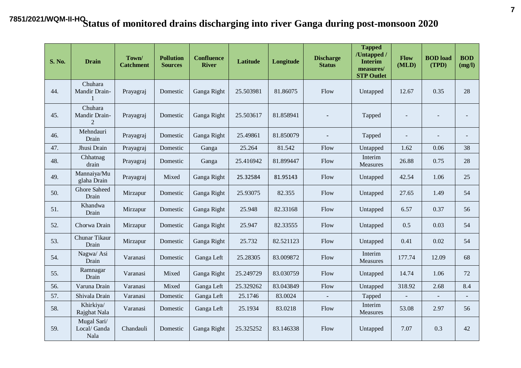| <b>S. No.</b> | <b>Drain</b>                               | Town/<br><b>Catchment</b> | <b>Pollution</b><br><b>Sources</b> | <b>Confluence</b><br><b>River</b> | <b>Latitude</b> | Longitude | <b>Discharge</b><br><b>Status</b> | <b>Tapped</b><br>/Untapped /<br><b>Interim</b><br>measures/<br><b>STP Outlet</b> | Flow<br>(MLD)            | <b>BOD</b> load<br>(TPD) | <b>BOD</b><br>(mg/l)     |
|---------------|--------------------------------------------|---------------------------|------------------------------------|-----------------------------------|-----------------|-----------|-----------------------------------|----------------------------------------------------------------------------------|--------------------------|--------------------------|--------------------------|
| 44.           | Chuhara<br>Mandir Drain-                   | Prayagraj                 | Domestic                           | Ganga Right                       | 25.503981       | 81.86075  | Flow                              | Untapped                                                                         | 12.67                    | 0.35                     | 28                       |
| 45.           | Chuhara<br>Mandir Drain-<br>$\mathfrak{D}$ | Prayagraj                 | Domestic                           | Ganga Right                       | 25.503617       | 81.858941 |                                   | Tapped                                                                           | $\overline{\phantom{a}}$ |                          |                          |
| 46.           | Mehndauri<br>Drain                         | Prayagraj                 | Domestic                           | Ganga Right                       | 25.49861        | 81.850079 |                                   | Tapped                                                                           | $\blacksquare$           |                          | $\blacksquare$           |
| 47.           | Jhusi Drain                                | Prayagraj                 | Domestic                           | Ganga                             | 25.264          | 81.542    | Flow                              | Untapped                                                                         | 1.62                     | 0.06                     | 38                       |
| 48.           | Chhatnag<br>drain                          | Prayagraj                 | Domestic                           | Ganga                             | 25.416942       | 81.899447 | Flow                              | Interim<br>Measures                                                              | 26.88                    | 0.75                     | 28                       |
| 49.           | Mannaiya/Mu<br>glaha Drain                 | Prayagraj                 | Mixed                              | Ganga Right                       | 25.32584        | 81.95143  | Flow                              | Untapped                                                                         | 42.54                    | 1.06                     | 25                       |
| 50.           | <b>Ghore Saheed</b><br>Drain               | Mirzapur                  | Domestic                           | Ganga Right                       | 25.93075        | 82.355    | Flow                              | Untapped                                                                         | 27.65                    | 1.49                     | 54                       |
| 51.           | Khandwa<br>Drain                           | Mirzapur                  | Domestic                           | Ganga Right                       | 25.948          | 82.33168  | Flow                              | Untapped                                                                         | 6.57                     | 0.37                     | 56                       |
| 52.           | Chorwa Drain                               | Mirzapur                  | Domestic                           | Ganga Right                       | 25.947          | 82.33555  | Flow                              | Untapped                                                                         | 0.5                      | 0.03                     | 54                       |
| 53.           | Chunar Tikaur<br>Drain                     | Mirzapur                  | Domestic                           | Ganga Right                       | 25.732          | 82.521123 | Flow                              | Untapped                                                                         | 0.41                     | 0.02                     | 54                       |
| 54.           | Nagwa/Asi<br>Drain                         | Varanasi                  | Domestic                           | Ganga Left                        | 25.28305        | 83.009872 | Flow                              | Interim<br><b>Measures</b>                                                       | 177.74                   | 12.09                    | 68                       |
| 55.           | Ramnagar<br>Drain                          | Varanasi                  | Mixed                              | Ganga Right                       | 25.249729       | 83.030759 | Flow                              | Untapped                                                                         | 14.74                    | 1.06                     | 72                       |
| 56.           | Varuna Drain                               | Varanasi                  | Mixed                              | Ganga Left                        | 25.329262       | 83.043849 | Flow                              | Untapped                                                                         | 318.92                   | 2.68                     | 8.4                      |
| 57.           | Shivala Drain                              | Varanasi                  | Domestic                           | Ganga Left                        | 25.1746         | 83.0024   | $\blacksquare$                    | Tapped                                                                           | $\overline{\phantom{a}}$ | $\overline{\phantom{a}}$ | $\overline{\phantom{a}}$ |
| 58.           | Khirkiya/<br>Rajghat Nala                  | Varanasi                  | Domestic                           | Ganga Left                        | 25.1934         | 83.0218   | Flow                              | Interim<br>Measures                                                              | 53.08                    | 2.97                     | 56                       |
| 59.           | Mugal Sari/<br>Local/ Ganda<br>Nala        | Chandauli                 | Domestic                           | Ganga Right                       | 25.325252       | 83.146338 | Flow                              | Untapped                                                                         | 7.07                     | 0.3                      | 42                       |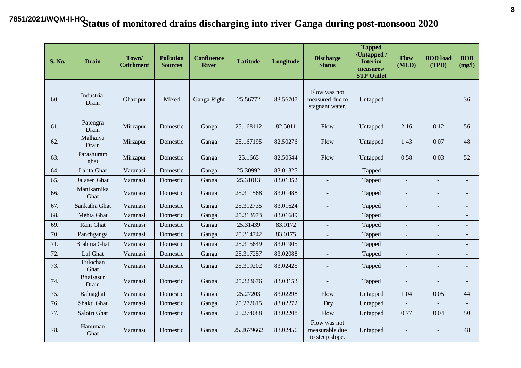| <b>S. No.</b> | <b>Drain</b>        | Town/<br><b>Catchment</b> | <b>Pollution</b><br><b>Sources</b> | <b>Confluence</b><br><b>River</b> | <b>Latitude</b> | Longitude | <b>Discharge</b><br><b>Status</b>                  | <b>Tapped</b><br>/Untapped /<br><b>Interim</b><br>measures/<br><b>STP Outlet</b> | Flow<br>(MLD) | <b>BOD</b> load<br>(TPD) | <b>BOD</b><br>(mg/l)     |
|---------------|---------------------|---------------------------|------------------------------------|-----------------------------------|-----------------|-----------|----------------------------------------------------|----------------------------------------------------------------------------------|---------------|--------------------------|--------------------------|
| 60.           | Industrial<br>Drain | Ghazipur                  | Mixed                              | Ganga Right                       | 25.56772        | 83.56707  | Flow was not<br>measured due to<br>stagnant water. | Untapped                                                                         |               |                          | 36                       |
| 61.           | Patengra<br>Drain   | Mirzapur                  | Domestic                           | Ganga                             | 25.168112       | 82.5011   | Flow                                               | Untapped                                                                         | 2.16          | 0.12                     | 56                       |
| 62.           | Malhaiya<br>Drain   | Mirzapur                  | Domestic                           | Ganga                             | 25.167195       | 82.50276  | Flow                                               | Untapped                                                                         | 1.43          | 0.07                     | 48                       |
| 63.           | Parashuram<br>ghat  | Mirzapur                  | Domestic                           | Ganga                             | 25.1665         | 82.50544  | Flow                                               | Untapped                                                                         | 0.58          | 0.03                     | 52                       |
| 64.           | Lalita Ghat         | Varanasi                  | Domestic                           | Ganga                             | 25.30992        | 83.01325  |                                                    | Tapped                                                                           | ÷.            |                          | $\overline{a}$           |
| 65.           | Jalasen Ghat        | Varanasi                  | Domestic                           | Ganga                             | 25.31013        | 83.01352  | $\blacksquare$                                     | Tapped                                                                           |               |                          | $\blacksquare$           |
| 66.           | Manikarnika<br>Ghat | Varanasi                  | Domestic                           | Ganga                             | 25.311568       | 83.01488  | $\blacksquare$                                     | Tapped                                                                           |               |                          | $\overline{\phantom{m}}$ |
| 67.           | Sankatha Ghat       | Varanasi                  | Domestic                           | Ganga                             | 25.312735       | 83.01624  | $\blacksquare$                                     | Tapped                                                                           | ٠             | $\blacksquare$           | $\blacksquare$           |
| 68.           | Mehta Ghat          | Varanasi                  | Domestic                           | Ganga                             | 25.313973       | 83.01689  | $\blacksquare$                                     | Tapped                                                                           | ä,            | $\blacksquare$           | $\blacksquare$           |
| 69.           | Ram Ghat            | Varanasi                  | Domestic                           | Ganga                             | 25.31439        | 83.0172   |                                                    | Tapped                                                                           |               |                          | $\overline{\phantom{a}}$ |
| 70.           | Panchganga          | Varanasi                  | Domestic                           | Ganga                             | 25.314742       | 83.0175   |                                                    | Tapped                                                                           | ä,            |                          |                          |
| 71.           | Brahma Ghat         | Varanasi                  | Domestic                           | Ganga                             | 25.315649       | 83.01905  | $\blacksquare$                                     | Tapped                                                                           |               |                          |                          |
| 72.           | Lal Ghat            | Varanasi                  | Domestic                           | Ganga                             | 25.317257       | 83.02088  | $\blacksquare$                                     | Tapped                                                                           | ٠             | $\blacksquare$           | $\blacksquare$           |
| 73.           | Trilochan<br>Ghat   | Varanasi                  | Domestic                           | Ganga                             | 25.319202       | 83.02425  | $\blacksquare$                                     | Tapped                                                                           | ٠             | $\blacksquare$           | $\overline{\phantom{a}}$ |
| 74.           | Bhaisasur<br>Drain  | Varanasi                  | Domestic                           | Ganga                             | 25.323676       | 83.03153  | $\blacksquare$                                     | Tapped                                                                           | ٠             |                          | $\overline{\phantom{a}}$ |
| 75.           | Baluaghat           | Varanasi                  | Domestic                           | Ganga                             | 25.27203        | 83.02298  | Flow                                               | Untapped                                                                         | 1.04          | 0.05                     | 44                       |
| 76.           | Shakti Ghat         | Varanasi                  | Domestic                           | Ganga                             | 25.272615       | 83.02272  | Dry                                                | Untapped                                                                         |               |                          | $\overline{a}$           |
| 77.           | Salotri Ghat        | Varanasi                  | Domestic                           | Ganga                             | 25.274088       | 83.02208  | Flow                                               | Untapped                                                                         | 0.77          | 0.04                     | 50                       |
| 78.           | Hanuman<br>Ghat     | Varanasi                  | Domestic                           | Ganga                             | 25.2679662      | 83.02456  | Flow was not<br>measurable due<br>to steep slope.  | Untapped                                                                         |               |                          | 48                       |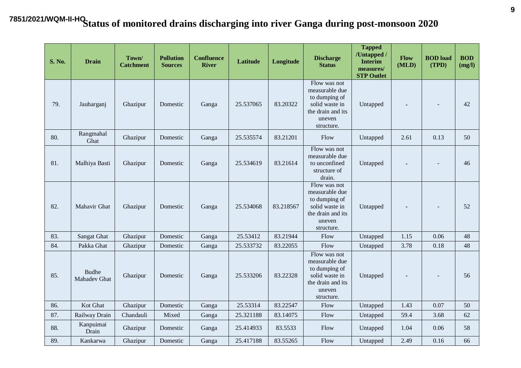| <b>S. No.</b> | <b>Drain</b>                 | Town/<br><b>Catchment</b> | <b>Pollution</b><br><b>Sources</b> | <b>Confluence</b><br><b>River</b> | <b>Latitude</b> | Longitude | <b>Discharge</b><br><b>Status</b>                                                                              | <b>Tapped</b><br>/Untapped /<br><b>Interim</b><br>measures/<br><b>STP Outlet</b> | Flow<br>(MLD) | <b>BOD</b> load<br>(TPD) | <b>BOD</b><br>(mg/l) |
|---------------|------------------------------|---------------------------|------------------------------------|-----------------------------------|-----------------|-----------|----------------------------------------------------------------------------------------------------------------|----------------------------------------------------------------------------------|---------------|--------------------------|----------------------|
| 79.           | Jauharganj                   | Ghazipur                  | Domestic                           | Ganga                             | 25.537065       | 83.20322  | Flow was not<br>measurable due<br>to dumping of<br>solid waste in<br>the drain and its<br>uneven<br>structure. | Untapped                                                                         |               | $\overline{\phantom{a}}$ | 42                   |
| 80.           | Rangmahal<br>Ghat            | Ghazipur                  | Domestic                           | Ganga                             | 25.535574       | 83.21201  | Flow                                                                                                           | Untapped                                                                         | 2.61          | 0.13                     | 50                   |
| 81.           | Malhiya Basti                | Ghazipur                  | Domestic                           | Ganga                             | 25.534619       | 83.21614  | Flow was not<br>measurable due<br>to unconfined<br>structure of<br>drain.                                      | Untapped                                                                         |               | $\overline{\phantom{a}}$ | 46                   |
| 82.           | Mahavir Ghat                 | Ghazipur                  | Domestic                           | Ganga                             | 25.534068       | 83.218567 | Flow was not<br>measurable due<br>to dumping of<br>solid waste in<br>the drain and its<br>uneven<br>structure. | Untapped                                                                         |               | $\overline{\phantom{a}}$ | 52                   |
| 83.           | Sangat Ghat                  | Ghazipur                  | Domestic                           | Ganga                             | 25.53412        | 83.21944  | Flow                                                                                                           | Untapped                                                                         | 1.15          | 0.06                     | 48                   |
| 84.           | Pakka Ghat                   | Ghazipur                  | Domestic                           | Ganga                             | 25.533732       | 83.22055  | Flow                                                                                                           | Untapped                                                                         | 3.78          | 0.18                     | 48                   |
| 85.           | <b>Budhe</b><br>Mahadev Ghat | Ghazipur                  | Domestic                           | Ganga                             | 25.533206       | 83.22328  | Flow was not<br>measurable due<br>to dumping of<br>solid waste in<br>the drain and its<br>uneven<br>structure. | Untapped                                                                         |               | $\overline{\phantom{a}}$ | 56                   |
| 86.           | Kot Ghat                     | Ghazipur                  | Domestic                           | Ganga                             | 25.53314        | 83.22547  | Flow                                                                                                           | Untapped                                                                         | 1.43          | 0.07                     | 50                   |
| 87.           | Railway Drain                | Chandauli                 | Mixed                              | Ganga                             | 25.321188       | 83.14075  | Flow                                                                                                           | Untapped                                                                         | 59.4          | 3.68                     | 62                   |
| 88.           | Kanpuimai<br>Drain           | Ghazipur                  | Domestic                           | Ganga                             | 25.414933       | 83.5533   | Flow                                                                                                           | Untapped                                                                         | 1.04          | 0.06                     | 58                   |
| 89.           | Kankarwa                     | Ghazipur                  | Domestic                           | Ganga                             | 25.417188       | 83.55265  | Flow                                                                                                           | Untapped                                                                         | 2.49          | 0.16                     | 66                   |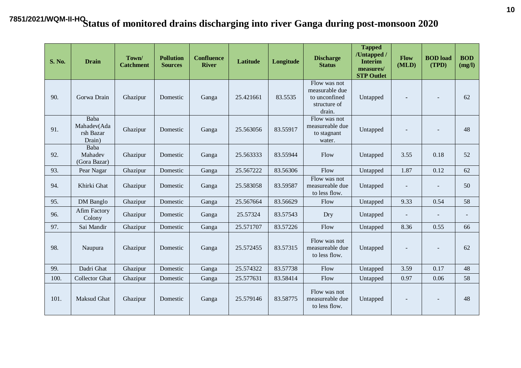| <b>S. No.</b> | <b>Drain</b>                               | Town/<br><b>Catchment</b> | <b>Pollution</b><br><b>Sources</b> | <b>Confluence</b><br><b>River</b> | <b>Latitude</b> | Longitude | <b>Discharge</b><br><b>Status</b>                                         | <b>Tapped</b><br>/Untapped /<br><b>Interim</b><br>measures/<br><b>STP Outlet</b> | Flow<br>(MLD) | <b>BOD</b> load<br>(TPD) | <b>BOD</b><br>(mg/l)     |
|---------------|--------------------------------------------|---------------------------|------------------------------------|-----------------------------------|-----------------|-----------|---------------------------------------------------------------------------|----------------------------------------------------------------------------------|---------------|--------------------------|--------------------------|
| 90.           | Gorwa Drain                                | Ghazipur                  | Domestic                           | Ganga                             | 25.421661       | 83.5535   | Flow was not<br>measurable due<br>to unconfined<br>structure of<br>drain. | Untapped                                                                         |               |                          | 62                       |
| 91.           | Baba<br>Mahadev(Ada<br>rsh Bazar<br>Drain) | Ghazipur                  | Domestic                           | Ganga                             | 25.563056       | 83.55917  | Flow was not<br>measureable due<br>to stagnant<br>water.                  | Untapped                                                                         |               |                          | 48                       |
| 92.           | Baba<br>Mahadev<br>(Gora Bazar)            | Ghazipur                  | Domestic                           | Ganga                             | 25.563333       | 83.55944  | Flow                                                                      | Untapped                                                                         | 3.55          | 0.18                     | 52                       |
| 93.           | Pear Nagar                                 | Ghazipur                  | Domestic                           | Ganga                             | 25.567222       | 83.56306  | Flow                                                                      | Untapped                                                                         | 1.87          | 0.12                     | 62                       |
| 94.           | Khirki Ghat                                | Ghazipur                  | Domestic                           | Ganga                             | 25.583058       | 83.59587  | Flow was not<br>measureable due<br>to less flow.                          | Untapped                                                                         |               | $\blacksquare$           | 50                       |
| 95.           | DM Banglo                                  | Ghazipur                  | Domestic                           | Ganga                             | 25.567664       | 83.56629  | Flow                                                                      | Untapped                                                                         | 9.33          | 0.54                     | 58                       |
| 96.           | <b>Afim Factory</b><br>Colony              | Ghazipur                  | Domestic                           | Ganga                             | 25.57324        | 83.57543  | Dry                                                                       | Untapped                                                                         |               |                          | $\overline{\phantom{0}}$ |
| 97.           | Sai Mandir                                 | Ghazipur                  | Domestic                           | Ganga                             | 25.571707       | 83.57226  | Flow                                                                      | Untapped                                                                         | 8.36          | 0.55                     | 66                       |
| 98.           | Naupura                                    | Ghazipur                  | Domestic                           | Ganga                             | 25.572455       | 83.57315  | Flow was not<br>measureable due<br>to less flow.                          | Untapped                                                                         |               | $\overline{\phantom{a}}$ | 62                       |
| 99.           | Dadri Ghat                                 | Ghazipur                  | Domestic                           | Ganga                             | 25.574322       | 83.57738  | Flow                                                                      | Untapped                                                                         | 3.59          | 0.17                     | 48                       |
| 100.          | <b>Collector Ghat</b>                      | Ghazipur                  | Domestic                           | Ganga                             | 25.577631       | 83.58414  | Flow                                                                      | Untapped                                                                         | 0.97          | 0.06                     | 58                       |
| 101.          | <b>Maksud Ghat</b>                         | Ghazipur                  | Domestic                           | Ganga                             | 25.579146       | 83.58775  | Flow was not<br>measureable due<br>to less flow.                          | Untapped                                                                         |               | $\overline{\phantom{a}}$ | 48                       |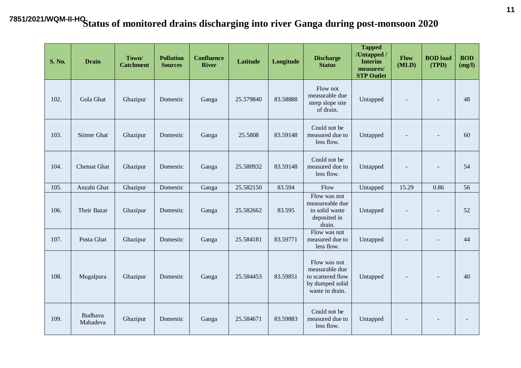| <b>S. No.</b> | <b>Drain</b>        | Town/<br><b>Catchment</b> | <b>Pollution</b><br><b>Sources</b> | <b>Confluence</b><br><b>River</b> | <b>Latitude</b> | Longitude | <b>Discharge</b><br><b>Status</b>                                                         | <b>Tapped</b><br>/Untapped /<br><b>Interim</b><br>measures/<br><b>STP Outlet</b> | Flow<br>(MLD) | <b>BOD</b> load<br>(TPD) | <b>BOD</b><br>(mg/l) |
|---------------|---------------------|---------------------------|------------------------------------|-----------------------------------|-----------------|-----------|-------------------------------------------------------------------------------------------|----------------------------------------------------------------------------------|---------------|--------------------------|----------------------|
| 102.          | Gola Ghat           | Ghazipur                  | Domestic                           | Ganga                             | 25.579840       | 83.58888  | Flow not<br>measurable due<br>steep slope site<br>of drain.                               | Untapped                                                                         |               |                          | 48                   |
| 103.          | <b>Stimer Ghat</b>  | Ghazipur                  | Domestic                           | Ganga                             | 25.5808         | 83.59148  | Could not be<br>measured due to<br>less flow.                                             | Untapped                                                                         |               | $\blacksquare$           | 60                   |
| 104.          | <b>Chetnat Ghat</b> | Ghazipur                  | Domestic                           | Ganga                             | 25.580932       | 83.59148  | Could not be<br>measured due to<br>less flow.                                             | Untapped                                                                         |               | $\overline{\phantom{a}}$ | 54                   |
| 105.          | Anzahi Ghat         | Ghazipur                  | Domestic                           | Ganga                             | 25.582150       | 83.594    | Flow                                                                                      | Untapped                                                                         | 15.29         | 0.86                     | 56                   |
| 106.          | Their Bazar         | Ghazipur                  | Domestic                           | Ganga                             | 25.582662       | 83.595    | Flow was not<br>measureable due<br>to solid waste<br>deposited in<br>drain.               | Untapped                                                                         |               | $\sim$                   | 52                   |
| 107.          | Posta Ghat          | Ghazipur                  | Domestic                           | Ganga                             | 25.584181       | 83.59771  | Flow was not<br>measured due to<br>less flow.                                             | Untapped                                                                         |               |                          | 44                   |
| 108.          | Mugalpura           | Ghazipur                  | Domestic                           | Ganga                             | 25.584453       | 83.59851  | Flow was not<br>measurable due<br>to scattered flow<br>by dumped solid<br>waste in drain. | Untapped                                                                         |               |                          | 40                   |
| 109.          | Budhava<br>Mahadeva | Ghazipur                  | Domestic                           | Ganga                             | 25.584671       | 83.59883  | Could not be<br>measured due to<br>less flow.                                             | Untapped                                                                         |               |                          | $\blacksquare$       |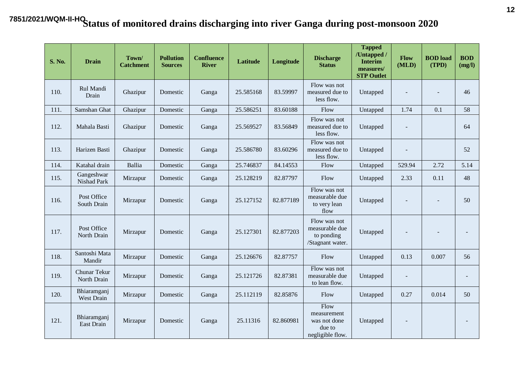| <b>S. No.</b> | <b>Drain</b>                     | Town/<br><b>Catchment</b> | <b>Pollution</b><br><b>Sources</b> | <b>Confluence</b><br><b>River</b> | Latitude  | Longitude | <b>Discharge</b><br><b>Status</b>                                 | <b>Tapped</b><br>/Untapped /<br><b>Interim</b><br>measures/<br><b>STP Outlet</b> | Flow<br>(MLD) | <b>BOD</b> load<br>(TPD) | <b>BOD</b><br>(mg/l)     |
|---------------|----------------------------------|---------------------------|------------------------------------|-----------------------------------|-----------|-----------|-------------------------------------------------------------------|----------------------------------------------------------------------------------|---------------|--------------------------|--------------------------|
| 110.          | Rul Mandi<br>Drain               | Ghazipur                  | Domestic                           | Ganga                             | 25.585168 | 83.59997  | Flow was not<br>measured due to<br>less flow.                     | Untapped                                                                         |               |                          | 46                       |
| 111.          | Samshan Ghat                     | Ghazipur                  | Domestic                           | Ganga                             | 25.586251 | 83.60188  | Flow                                                              | Untapped                                                                         | 1.74          | 0.1                      | 58                       |
| 112.          | Mahala Basti                     | Ghazipur                  | Domestic                           | Ganga                             | 25.569527 | 83.56849  | Flow was not<br>measured due to<br>less flow.                     | Untapped                                                                         |               |                          | 64                       |
| 113.          | Harizen Basti                    | Ghazipur                  | Domestic                           | Ganga                             | 25.586780 | 83.60296  | Flow was not<br>measured due to<br>less flow.                     | Untapped                                                                         |               |                          | 52                       |
| 114.          | Katahal drain                    | Ballia                    | Domestic                           | Ganga                             | 25.746837 | 84.14553  | Flow                                                              | Untapped                                                                         | 529.94        | 2.72                     | 5.14                     |
| 115.          | Gangeshwar<br>Nishad Park        | Mirzapur                  | Domestic                           | Ganga                             | 25.128219 | 82.87797  | Flow                                                              | Untapped                                                                         | 2.33          | 0.11                     | 48                       |
| 116.          | Post Office<br>South Drain       | Mirzapur                  | Domestic                           | Ganga                             | 25.127152 | 82.877189 | Flow was not<br>measurable due<br>to very lean<br>flow            | Untapped                                                                         |               | $\overline{\phantom{a}}$ | 50                       |
| 117.          | Post Office<br>North Drain       | Mirzapur                  | Domestic                           | Ganga                             | 25.127301 | 82.877203 | Flow was not<br>measurable due<br>to ponding<br>/Stagnant water.  | Untapped                                                                         |               | $\overline{\phantom{a}}$ | $\overline{\phantom{a}}$ |
| 118.          | Santoshi Mata<br>Mandir          | Mirzapur                  | Domestic                           | Ganga                             | 25.126676 | 82.87757  | Flow                                                              | Untapped                                                                         | 0.13          | 0.007                    | 56                       |
| 119.          | Chunar Tekur<br>North Drain      | Mirzapur                  | Domestic                           | Ganga                             | 25.121726 | 82.87381  | Flow was not<br>measurable due<br>to lean flow.                   | Untapped                                                                         |               |                          | $\overline{\phantom{a}}$ |
| 120.          | Bhiaramganj<br><b>West Drain</b> | Mirzapur                  | Domestic                           | Ganga                             | 25.112119 | 82.85876  | Flow                                                              | Untapped                                                                         | 0.27          | 0.014                    | 50                       |
| 121.          | Bhiaramganj<br>East Drain        | Mirzapur                  | Domestic                           | Ganga                             | 25.11316  | 82.860981 | Flow<br>measurement<br>was not done<br>due to<br>negligible flow. | Untapped                                                                         |               |                          | $\overline{a}$           |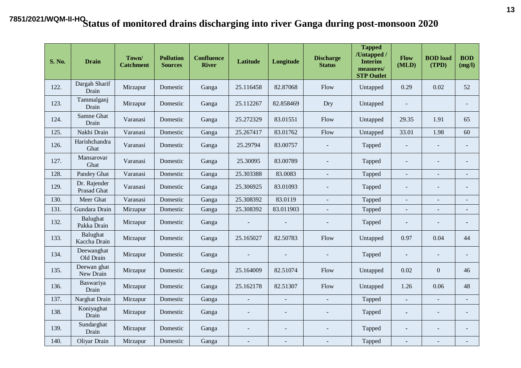| <b>S. No.</b> | <b>Drain</b>                       | Town/<br><b>Catchment</b> | <b>Pollution</b><br><b>Sources</b> | <b>Confluence</b><br><b>River</b> | <b>Latitude</b>          | Longitude                | <b>Discharge</b><br><b>Status</b> | <b>Tapped</b><br>/Untapped /<br><b>Interim</b><br>measures/<br><b>STP Outlet</b> | Flow<br>(MLD)            | <b>BOD</b> load<br>(TPD) | <b>BOD</b><br>(mg/l)     |
|---------------|------------------------------------|---------------------------|------------------------------------|-----------------------------------|--------------------------|--------------------------|-----------------------------------|----------------------------------------------------------------------------------|--------------------------|--------------------------|--------------------------|
| 122.          | Dargah Sharif<br>Drain             | Mirzapur                  | Domestic                           | Ganga                             | 25.116458                | 82.87068                 | Flow                              | Untapped                                                                         | 0.29                     | 0.02                     | 52                       |
| 123.          | Tammalganj<br>Drain                | Mirzapur                  | Domestic                           | Ganga                             | 25.112267                | 82.858469                | Dry                               | Untapped                                                                         | $\overline{a}$           |                          | $\blacksquare$           |
| 124.          | Samne Ghat<br>Drain                | Varanasi                  | Domestic                           | Ganga                             | 25.272329                | 83.01551                 | Flow                              | Untapped                                                                         | 29.35                    | 1.91                     | 65                       |
| 125.          | Nakhi Drain                        | Varanasi                  | Domestic                           | Ganga                             | 25.267417                | 83.01762                 | Flow                              | Untapped                                                                         | 33.01                    | 1.98                     | 60                       |
| 126.          | Harishchandra<br>Ghat              | Varanasi                  | Domestic                           | Ganga                             | 25.29794                 | 83.00757                 |                                   | Tapped                                                                           | $\sim$                   | $\sim$                   | $\overline{\phantom{a}}$ |
| 127.          | Mansarovar<br>Ghat                 | Varanasi                  | Domestic                           | Ganga                             | 25.30095                 | 83.00789                 |                                   | Tapped                                                                           | $\overline{\phantom{a}}$ |                          |                          |
| 128.          | Pandey Ghat                        | Varanasi                  | Domestic                           | Ganga                             | 25.303388                | 83.0083                  |                                   | Tapped                                                                           | $\overline{a}$           |                          |                          |
| 129.          | Dr. Rajender<br><b>Prasad Ghat</b> | Varanasi                  | Domestic                           | Ganga                             | 25.306925                | 83.01093                 |                                   | Tapped                                                                           | $\overline{\phantom{a}}$ |                          | $\blacksquare$           |
| 130.          | Meer Ghat                          | Varanasi                  | Domestic                           | Ganga                             | 25.308392                | 83.0119                  | $\overline{\phantom{a}}$          | Tapped                                                                           | $\overline{\phantom{a}}$ | $\sim$                   | $\overline{\phantom{m}}$ |
| 131.          | Gundara Drain                      | Mirzapur                  | Domestic                           | Ganga                             | 25.308392                | 83.011903                |                                   | Tapped                                                                           | $\blacksquare$           | $\blacksquare$           | ٠                        |
| 132.          | Balughat<br>Pakka Drain            | Mirzapur                  | Domestic                           | Ganga                             | $\overline{\phantom{a}}$ | $\sim$                   | $\sim$                            | Tapped                                                                           | ٠                        | $\sim$                   | ٠                        |
| 133.          | Balughat<br>Kaccha Drain           | Mirzapur                  | Domestic                           | Ganga                             | 25.165027                | 82.50783                 | Flow                              | Untapped                                                                         | 0.97                     | 0.04                     | 44                       |
| 134.          | Deewanghat<br>Old Drain            | Mirzapur                  | Domestic                           | Ganga                             | $\blacksquare$           |                          |                                   | Tapped                                                                           | ٠                        | $\blacksquare$           | $\blacksquare$           |
| 135.          | Deewan ghat<br>New Drain           | Mirzapur                  | Domestic                           | Ganga                             | 25.164009                | 82.51074                 | Flow                              | Untapped                                                                         | 0.02                     | $\boldsymbol{0}$         | 46                       |
| 136.          | Baswariya<br>Drain                 | Mirzapur                  | Domestic                           | Ganga                             | 25.162178                | 82.51307                 | Flow                              | Untapped                                                                         | 1.26                     | 0.06                     | 48                       |
| 137.          | Narghat Drain                      | Mirzapur                  | Domestic                           | Ganga                             | $\blacksquare$           | $\sim$                   | $\bar{\phantom{a}}$               | Tapped                                                                           | $\blacksquare$           | $\equiv$                 | $\blacksquare$           |
| 138.          | Koniyaghat<br>Drain                | Mirzapur                  | Domestic                           | Ganga                             | $\overline{\phantom{a}}$ | $\overline{\phantom{a}}$ |                                   | Tapped                                                                           | ٠                        | $\blacksquare$           | $\overline{\phantom{a}}$ |
| 139.          | Sundarghat<br>Drain                | Mirzapur                  | Domestic                           | Ganga                             | $\overline{a}$           | $\blacksquare$           |                                   | Tapped                                                                           | ٠                        |                          | $\blacksquare$           |
| 140.          | Oliyar Drain                       | Mirzapur                  | Domestic                           | Ganga                             | $\equiv$                 | $\sim$                   |                                   | Tapped                                                                           | ٠                        | $\sim$                   |                          |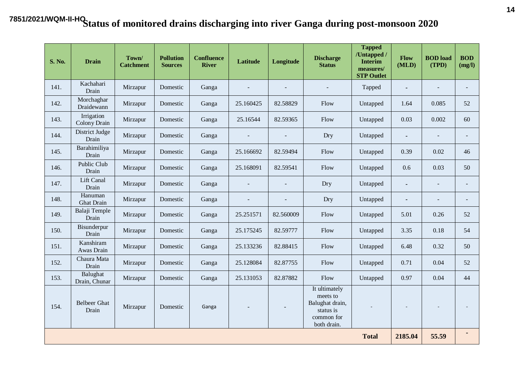| <b>S. No.</b> | <b>Drain</b>                 | Town/<br><b>Catchment</b> | <b>Pollution</b><br><b>Sources</b> | <b>Confluence</b><br><b>River</b> | <b>Latitude</b> | Longitude      | <b>Discharge</b><br><b>Status</b>                                                      | <b>Tapped</b><br>/Untapped /<br><b>Interim</b><br>measures/<br><b>STP Outlet</b> | Flow<br>(MLD)  | <b>BOD</b> load<br>(TPD) | <b>BOD</b><br>(mg/l)     |
|---------------|------------------------------|---------------------------|------------------------------------|-----------------------------------|-----------------|----------------|----------------------------------------------------------------------------------------|----------------------------------------------------------------------------------|----------------|--------------------------|--------------------------|
| 141.          | Kachahari<br>Drain           | Mirzapur                  | Domestic                           | Ganga                             | $\equiv$        | $\sim$         |                                                                                        | Tapped                                                                           | $\blacksquare$ | $\blacksquare$           | $\blacksquare$           |
| 142.          | Morchaghar<br>Draidewann     | Mirzapur                  | Domestic                           | Ganga                             | 25.160425       | 82.58829       | Flow                                                                                   | Untapped                                                                         | 1.64           | 0.085                    | 52                       |
| 143.          | Irrigation<br>Colony Drain   | Mirzapur                  | Domestic                           | Ganga                             | 25.16544        | 82.59365       | Flow                                                                                   | Untapped                                                                         | 0.03           | 0.002                    | 60                       |
| 144.          | District Judge<br>Drain      | Mirzapur                  | Domestic                           | Ganga                             | $\blacksquare$  |                | Dry                                                                                    | Untapped                                                                         | $\blacksquare$ | $\blacksquare$           | $\blacksquare$           |
| 145.          | Barahimiliya<br>Drain        | Mirzapur                  | Domestic                           | Ganga                             | 25.166692       | 82.59494       | Flow                                                                                   | Untapped                                                                         | 0.39           | 0.02                     | 46                       |
| 146.          | Public Club<br>Drain         | Mirzapur                  | Domestic                           | Ganga                             | 25.168091       | 82.59541       | Flow                                                                                   | Untapped                                                                         | 0.6            | 0.03                     | 50                       |
| 147.          | Lift Canal<br>Drain          | Mirzapur                  | Domestic                           | Ganga                             | $\blacksquare$  |                | Dry                                                                                    | Untapped                                                                         | $\blacksquare$ | $\sim$                   | $\overline{\phantom{a}}$ |
| 148.          | Hanuman<br><b>Ghat Drain</b> | Mirzapur                  | Domestic                           | Ganga                             | $\blacksquare$  | $\overline{a}$ | Dry                                                                                    | Untapped                                                                         | $\blacksquare$ |                          | $\blacksquare$           |
| 149.          | Balaji Temple<br>Drain       | Mirzapur                  | Domestic                           | Ganga                             | 25.251571       | 82.560009      | Flow                                                                                   | Untapped                                                                         | 5.01           | 0.26                     | 52                       |
| 150.          | Bisunderpur<br>Drain         | Mirzapur                  | Domestic                           | Ganga                             | 25.175245       | 82.59777       | Flow                                                                                   | Untapped                                                                         | 3.35           | 0.18                     | 54                       |
| 151.          | Kanshiram<br>Awas Drain      | Mirzapur                  | Domestic                           | Ganga                             | 25.133236       | 82.88415       | Flow                                                                                   | Untapped                                                                         | 6.48           | 0.32                     | 50                       |
| 152.          | Chaura Mata<br>Drain         | Mirzapur                  | Domestic                           | Ganga                             | 25.128084       | 82.87755       | Flow                                                                                   | Untapped                                                                         | 0.71           | 0.04                     | 52                       |
| 153.          | Balughat<br>Drain, Chunar    | Mirzapur                  | Domestic                           | Ganga                             | 25.131053       | 82.87882       | Flow                                                                                   | Untapped                                                                         | 0.97           | 0.04                     | 44                       |
| 154.          | <b>Belbeer</b> Ghat<br>Drain | Mirzapur                  | Domestic                           | Ganga                             |                 | $\blacksquare$ | It ultimately<br>meets to<br>Balughat drain,<br>status is<br>common for<br>both drain. |                                                                                  |                |                          |                          |
|               |                              |                           |                                    |                                   |                 |                |                                                                                        | <b>Total</b>                                                                     | 2185.04        | 55.59                    | ٠                        |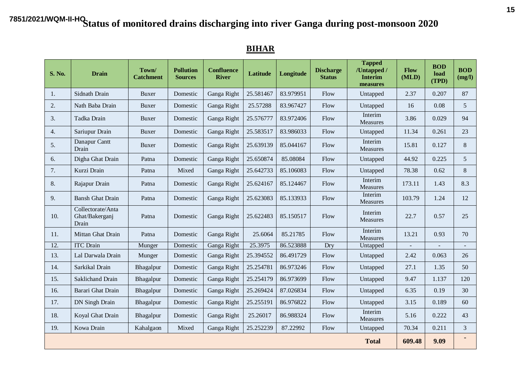#### **S. No. Drain Town Catchment Pollution Sources Confluence River Latitude Longitude Discharge Status Tapped /Untapped / Interim measures Flow (MLD) BOD load (TPD) BOD (mg/l)** 1. Sidnath Drain | Buxer | Domestic | Ganga Right | 25.581467 | 83.979951 | Flow | Untapped | 2.37 | 0.207 | 87 2. | Nath Baba Drain | Buxer | Domestic | Ganga Right | 25.57288 | 83.967427 | Flow | Untapped | 16 | 0.08 | 5 3. Tadka Drain Buxer Domestic Ganga Right  $25.576777$  83.972406 Flow Interim Measures 3.86 0.029 94 4. Sariupur Drain | Buxer | Domestic | Ganga Right | 25.583517 | 83.986033 | Flow | Untapped | 11.34 | 0.261 | 23 5. Danapur Cantt Danapur Cantt Buxer Buxer Buxer Ganga Right 25.639139 85.044167 Flow Interim Measures Measures 15.81 0.127 8 6. Digha Ghat Drain Patna Domestic Ganga Right 25.650874 85.08084 Flow Untapped 44.92 0.225 5 7. | Kurzi Drain | Patna | Mixed | Ganga Right | 25.642733 | 85.106083 | Flow | Untapped | 78.38 | 0.62 | 8 8. Rajapur Drain Patna Domestic Ganga Right 25.624167 85.124467 Flow Interim Measures 173.11 1.43 8.3 9. Bansh Ghat Drain Patna Domestic Ganga Right  $25.623083$  85.133933 Flow Interim Measures 103.79 1.24 12 10. Collectorate/Anta Ghat/Bakerganj Drain Patna Domestic Ganga Right 25.622483 85.150517 Flow Interim Measures 22.7 0.57 25 11. Mittan Ghat Drain Patna Domestic Ganga Right 25.6064 85.21785 Flow Interim Measures 13.21 0.93 70 12. | ITC Drain | Munger | Domestic | Ganga Right | 25.3975 | 86.523888 | Dry | Untapped | - | - | -13. | Lal Darwala Drain | Munger | Domestic | Ganga Right | 25.394552 | 86.491729 | Flow | Untapped | 2.42 | 0.063 | 26 14. Sarkikal Drain | Bhagalpur | Domestic | Ganga Right | 25.254781 | 86.973246 | Flow | Untapped | 27.1 | 1.35 | 50 15. Saklichand Drain Bhagalpur Domestic Ganga Right 25.254179 86.973699 Flow Untapped 9.47 1.137 120 16. Barari Ghat Drain Bhagalpur Domestic Ganga Right 25.269424 87.026834 Flow Untapped 6.35 0.19 30 17. | DN Singh Drain | Bhagalpur | Domestic | Ganga Right | 25.255191 | 86.976822 | Flow | Untapped | 3.15 | 0.189 | 60 18. Koyal Ghat Drain Bhagalpur Domestic Ganga Right 25.26017 86.988324 Flow Interim Measures 5.16 0.222 43 19. Kowa Drain | Kahalgaon | Mixed | Ganga Right | 25.252239 | 87.22992 | Flow | Untapped | 70.34 | 0.211 | 3  **Total 609.48 9.09 -**

#### **BIHAR**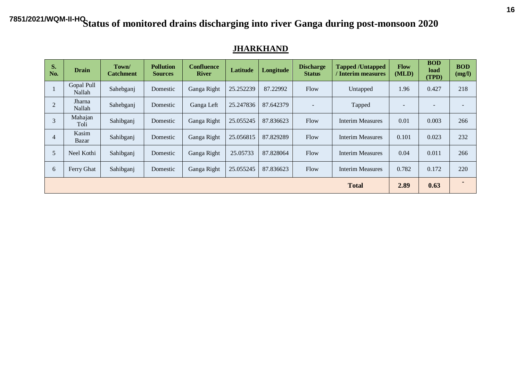| S.<br>No.      | <b>Drain</b>         | Town/<br><b>Catchment</b> | <b>Pollution</b><br><b>Sources</b> | <b>Confluence</b><br><b>River</b> | Latitude  | Longitude | <b>Discharge</b><br><b>Status</b> | <b>Tapped /Untapped</b><br>/ Interim measures | <b>Flow</b><br>(MLD) | <b>BOD</b><br>load<br>(TPD) | <b>BOD</b><br>(mg/l) |
|----------------|----------------------|---------------------------|------------------------------------|-----------------------------------|-----------|-----------|-----------------------------------|-----------------------------------------------|----------------------|-----------------------------|----------------------|
|                | Gopal Pull<br>Nallah | Sahebganj                 | Domestic                           | Ganga Right                       | 25.252239 | 87.22992  | Flow                              | Untapped                                      | 1.96                 | 0.427                       | 218                  |
| $\overline{2}$ | Jharna<br>Nallah     | Sahebganj                 | Domestic                           | Ganga Left                        | 25.247836 | 87.642379 | $\overline{\phantom{a}}$          | Tapped                                        |                      | -                           |                      |
| 3              | Mahajan<br>Toli      | Sahibganj                 | Domestic                           | Ganga Right                       | 25.055245 | 87.836623 | Flow                              | <b>Interim Measures</b>                       | 0.01                 | 0.003                       | 266                  |
| $\overline{4}$ | Kasim<br>Bazar       | Sahibganj                 | Domestic                           | Ganga Right                       | 25.056815 | 87.829289 | Flow                              | <b>Interim Measures</b>                       | 0.101                | 0.023                       | 232                  |
| 5              | Neel Kothi           | Sahibganj                 | Domestic                           | Ganga Right                       | 25.05733  | 87.828064 | Flow                              | <b>Interim Measures</b>                       | 0.04                 | 0.011                       | 266                  |
| 6              | Ferry Ghat           | Sahibganj                 | Domestic                           | Ganga Right                       | 25.055245 | 87.836623 | Flow                              | Interim Measures                              | 0.782                | 0.172                       | 220                  |
|                |                      |                           |                                    |                                   |           |           |                                   | <b>Total</b>                                  | 2.89                 | 0.63                        |                      |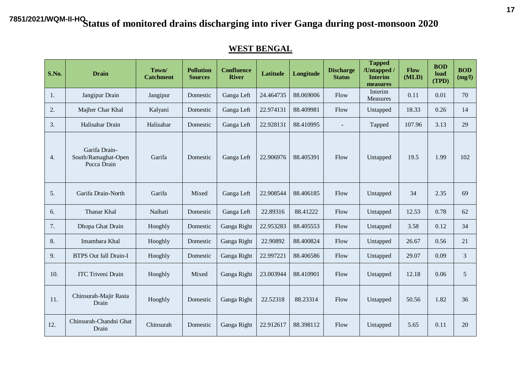#### **WEST BENGAL**

| <b>S.No.</b>     | <b>Drain</b>                                        | Town/<br><b>Catchment</b> | <b>Pollution</b><br><b>Sources</b> | <b>Confluence</b><br><b>River</b> | <b>Latitude</b> | Longitude | <b>Discharge</b><br><b>Status</b> | <b>Tapped</b><br>/Untapped /<br><b>Interim</b><br>measures | Flow<br>(MLD) | <b>BOD</b><br>load<br>(TPD) | <b>BOD</b><br>(mg/l) |
|------------------|-----------------------------------------------------|---------------------------|------------------------------------|-----------------------------------|-----------------|-----------|-----------------------------------|------------------------------------------------------------|---------------|-----------------------------|----------------------|
| 1.               | Jangipur Drain                                      | Jangipur                  | Domestic                           | Ganga Left                        | 24.464735       | 88.069006 | Flow                              | Interim<br><b>Measures</b>                                 | 0.11          | 0.01                        | 70                   |
| 2.               | Majher Char Khal                                    | Kalyani                   | Domestic                           | Ganga Left                        | 22.974131       | 88.409981 | Flow                              | Untapped                                                   | 18.33         | 0.26                        | 14                   |
| 3.               | Halisahar Drain                                     | Halisahar                 | Domestic                           | Ganga Left                        | 22.928131       | 88.410995 | $\blacksquare$                    | Tapped                                                     | 107.96        | 3.13                        | 29                   |
| $\overline{4}$ . | Garifa Drain-<br>South/Ramaghat-Open<br>Pucca Drain | Garifa                    | Domestic                           | Ganga Left                        | 22.906976       | 88.405391 | Flow                              | Untapped                                                   | 19.5          | 1.99                        | 102                  |
| 5.               | Garifa Drain-North                                  | Garifa                    | Mixed                              | Ganga Left                        | 22.908544       | 88.406185 | Flow                              | Untapped                                                   | 34            | 2.35                        | 69                   |
| 6.               | Thanar Khal                                         | Naihati                   | Domestic                           | Ganga Left                        | 22.89316        | 88.41222  | Flow                              | Untapped                                                   | 12.53         | 0.78                        | 62                   |
| 7.               | Dhopa Ghat Drain                                    | Hooghly                   | Domestic                           | Ganga Right                       | 22.953283       | 88.405553 | Flow                              | Untapped                                                   | 3.58          | 0.12                        | 34                   |
| 8.               | Imambara Khal                                       | Hooghly                   | Domestic                           | Ganga Right                       | 22.90892        | 88.400824 | Flow                              | Untapped                                                   | 26.67         | 0.56                        | 21                   |
| 9.               | <b>BTPS Out fall Drain-I</b>                        | Hooghly                   | Domestic                           | Ganga Right                       | 22.997221       | 88.406586 | Flow                              | Untapped                                                   | 29.07         | 0.09                        | 3                    |
| 10.              | <b>ITC Triveni Drain</b>                            | Hooghly                   | Mixed                              | Ganga Right                       | 23.003944       | 88.410901 | Flow                              | Untapped                                                   | 12.18         | 0.06                        | $5\overline{)}$      |
| 11.              | Chinsurah-Majir Rasta<br>Drain                      | Hooghly                   | Domestic                           | Ganga Right                       | 22.52318        | 88.23314  | Flow                              | Untapped                                                   | 50.56         | 1.82                        | 36                   |
| 12.              | Chinsurah-Chandni Ghat<br>Drain                     | Chinsurah                 | Domestic                           | Ganga Right                       | 22.912617       | 88.398112 | Flow                              | Untapped                                                   | 5.65          | 0.11                        | 20                   |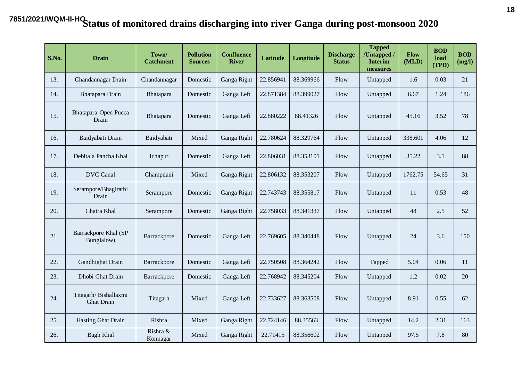| <b>S.No.</b> | <b>Drain</b>                              | Town/<br><b>Catchment</b> | <b>Pollution</b><br><b>Sources</b> | <b>Confluence</b><br><b>River</b> | Latitude  | Longitude | <b>Discharge</b><br><b>Status</b> | <b>Tapped</b><br>/Untapped /<br><b>Interim</b><br>measures | Flow<br>(MLD) | <b>BOD</b><br>load<br>(TPD) | <b>BOD</b><br>(mg/l) |
|--------------|-------------------------------------------|---------------------------|------------------------------------|-----------------------------------|-----------|-----------|-----------------------------------|------------------------------------------------------------|---------------|-----------------------------|----------------------|
| 13.          | Chandannagar Drain                        | Chandannagar              | Domestic                           | Ganga Right                       | 22.856941 | 88.369966 | Flow                              | Untapped                                                   | 1.6           | 0.03                        | 21                   |
| 14.          | Bhatapara Drain                           | Bhatapara                 | Domestic                           | Ganga Left                        | 22.871384 | 88.399027 | Flow                              | Untapped                                                   | 6.67          | 1.24                        | 186                  |
| 15.          | Bhatapara-Open Pucca<br>Drain             | Bhatapara                 | Domestic                           | Ganga Left                        | 22.880222 | 88.41326  | Flow                              | Untapped                                                   | 45.16         | 3.52                        | 78                   |
| 16.          | Baidyabati Drain                          | Baidyabati                | Mixed                              | Ganga Right                       | 22.780624 | 88.329764 | Flow                              | Untapped                                                   | 338.601       | 4.06                        | 12                   |
| 17.          | Debitala Pancha Khal                      | Ichapur                   | Domestic                           | Ganga Left                        | 22.806031 | 88.353101 | Flow                              | Untapped                                                   | 35.22         | 3.1                         | 88                   |
| 18.          | <b>DVC</b> Canal                          | Champdani                 | Mixed                              | Ganga Right                       | 22.806132 | 88.353207 | Flow                              | Untapped                                                   | 1762.75       | 54.65                       | 31                   |
| 19.          | Serampore/Bhagirathi<br>Drain             | Serampore                 | Domestic                           | Ganga Right                       | 22.743743 | 88.355817 | Flow                              | Untapped                                                   | 11            | 0.53                        | 48                   |
| 20.          | Chatra Khal                               | Serampore                 | Domestic                           | Ganga Right                       | 22.758033 | 88.341337 | Flow                              | Untapped                                                   | 48            | 2.5                         | 52                   |
| 21.          | Barrackpore Khal (SP<br>Bunglalow)        | Barrackpore               | Domestic                           | Ganga Left                        | 22.769605 | 88.340448 | Flow                              | Untapped                                                   | 24            | 3.6                         | 150                  |
| 22.          | Gandhighat Drain                          | Barrackpore               | Domestic                           | Ganga Left                        | 22.750508 | 88.364242 | Flow                              | Tapped                                                     | 5.04          | 0.06                        | 11                   |
| 23.          | Dhobi Ghat Drain                          | Barrackpore               | Domestic                           | Ganga Left                        | 22.768942 | 88.345204 | Flow                              | Untapped                                                   | 1.2           | 0.02                        | 20                   |
| 24.          | Titagarh/Bishallaxmi<br><b>Ghat Drain</b> | Titagarh                  | Mixed                              | Ganga Left                        | 22.733627 | 88.363508 | Flow                              | Untapped                                                   | 8.91          | 0.55                        | 62                   |
| 25.          | Hasting Ghat Drain                        | Rishra                    | Mixed                              | Ganga Right                       | 22.724146 | 88.35563  | Flow                              | Untapped                                                   | 14.2          | 2.31                        | 163                  |
| 26.          | <b>Bagh Khal</b>                          | Rishra &<br>Konnagar      | Mixed                              | Ganga Right                       | 22.71415  | 88.356602 | Flow                              | Untapped                                                   | 97.5          | 7.8                         | 80                   |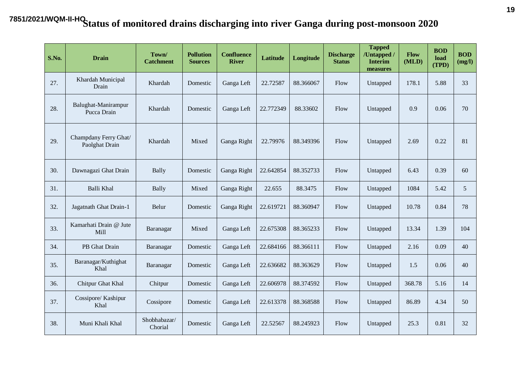| <b>S.No.</b> | <b>Drain</b>                            | Town/<br><b>Catchment</b> | <b>Pollution</b><br><b>Sources</b> | <b>Confluence</b><br><b>River</b> | Latitude  | Longitude | <b>Discharge</b><br><b>Status</b> | <b>Tapped</b><br>/Untapped /<br><b>Interim</b><br>measures | Flow<br>(MLD) | <b>BOD</b><br>load<br>(TPD) | <b>BOD</b><br>(mg/l) |
|--------------|-----------------------------------------|---------------------------|------------------------------------|-----------------------------------|-----------|-----------|-----------------------------------|------------------------------------------------------------|---------------|-----------------------------|----------------------|
| 27.          | Khardah Municipal<br>Drain              | Khardah                   | Domestic                           | Ganga Left                        | 22.72587  | 88.366067 | Flow                              | Untapped                                                   | 178.1         | 5.88                        | 33                   |
| 28.          | Balughat-Manirampur<br>Pucca Drain      | Khardah                   | Domestic                           | Ganga Left                        | 22.772349 | 88.33602  | Flow                              | Untapped                                                   | 0.9           | 0.06                        | 70                   |
| 29.          | Champdany Ferry Ghat/<br>Paolghat Drain | Khardah                   | Mixed                              | Ganga Right                       | 22.79976  | 88.349396 | Flow                              | Untapped                                                   | 2.69          | 0.22                        | 81                   |
| 30.          | Dawnagazi Ghat Drain                    | Bally                     | Domestic                           | Ganga Right                       | 22.642854 | 88.352733 | Flow                              | Untapped                                                   | 6.43          | 0.39                        | 60                   |
| 31.          | Balli Khal                              | Bally                     | Mixed                              | Ganga Right                       | 22.655    | 88.3475   | Flow                              | Untapped                                                   | 1084          | 5.42                        | 5                    |
| 32.          | Jagatnath Ghat Drain-1                  | Belur                     | Domestic                           | Ganga Right                       | 22.619721 | 88.360947 | Flow                              | Untapped                                                   | 10.78         | 0.84                        | 78                   |
| 33.          | Kamarhati Drain @ Jute<br>Mill          | Baranagar                 | Mixed                              | Ganga Left                        | 22.675308 | 88.365233 | Flow                              | Untapped                                                   | 13.34         | 1.39                        | 104                  |
| 34.          | PB Ghat Drain                           | Baranagar                 | Domestic                           | Ganga Left                        | 22.684166 | 88.366111 | Flow                              | Untapped                                                   | 2.16          | 0.09                        | 40                   |
| 35.          | Baranagar/Kuthighat<br>Khal             | Baranagar                 | Domestic                           | Ganga Left                        | 22.636682 | 88.363629 | Flow                              | Untapped                                                   | 1.5           | 0.06                        | 40                   |
| 36.          | Chitpur Ghat Khal                       | Chitpur                   | Domestic                           | Ganga Left                        | 22.606978 | 88.374592 | Flow                              | Untapped                                                   | 368.78        | 5.16                        | 14                   |
| 37.          | Cossipore/ Kashipur<br>Khal             | Cossipore                 | Domestic                           | Ganga Left                        | 22.613378 | 88.368588 | Flow                              | Untapped                                                   | 86.89         | 4.34                        | 50                   |
| 38.          | Muni Khali Khal                         | Shobhabazar/<br>Chorial   | Domestic                           | Ganga Left                        | 22.52567  | 88.245923 | Flow                              | Untapped                                                   | 25.3          | 0.81                        | 32                   |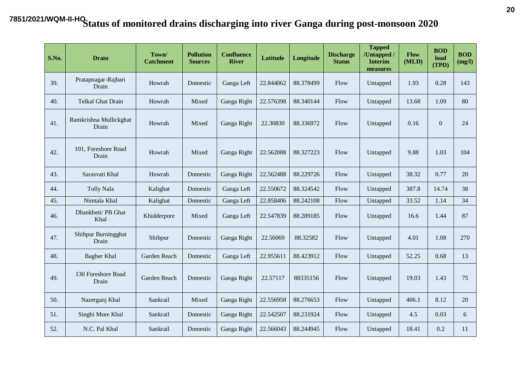| <b>S.No.</b> | <b>Drain</b>                    | Town/<br><b>Catchment</b> | <b>Pollution</b><br><b>Sources</b> | <b>Confluence</b><br><b>River</b> | Latitude  | Longitude | <b>Discharge</b><br><b>Status</b> | <b>Tapped</b><br>/Untapped /<br><b>Interim</b><br>measures | Flow<br>(MLD) | <b>BOD</b><br>load<br>(TPD) | <b>BOD</b><br>(mg/l) |
|--------------|---------------------------------|---------------------------|------------------------------------|-----------------------------------|-----------|-----------|-----------------------------------|------------------------------------------------------------|---------------|-----------------------------|----------------------|
| 39.          | Pratapnagar-Rajbari<br>Drain    | Howrah                    | Domestic                           | Ganga Left                        | 22.844062 | 88.378499 | Flow                              | Untapped                                                   | 1.93          | 0.28                        | 143                  |
| 40.          | <b>Telkal Ghat Drain</b>        | Howrah                    | Mixed                              | Ganga Right                       | 22.576398 | 88.340144 | Flow                              | Untapped                                                   | 13.68         | 1.09                        | 80                   |
| 41.          | Ramkrishna Mullickghat<br>Drain | Howrah                    | Mixed                              | Ganga Right                       | 22.30830  | 88.336972 | Flow                              | Untapped                                                   | 0.16          | $\mathbf{0}$                | 24                   |
| 42.          | 101, Foreshore Road<br>Drain    | Howrah                    | Mixed                              | Ganga Right                       | 22.562088 | 88.327223 | Flow                              | Untapped                                                   | 9.88          | 1.03                        | 104                  |
| 43.          | Sarasvati Khal                  | Howrah                    | Domestic                           | Ganga Right                       | 22.562488 | 88.229726 | Flow                              | Untapped                                                   | 38.32         | 0.77                        | 20                   |
| 44.          | Tolly Nala                      | Kalighat                  | Domestic                           | Ganga Left                        | 22.550672 | 88.324542 | Flow                              | Untapped                                                   | 387.8         | 14.74                       | 38                   |
| 45.          | Nimtala Khal                    | Kalighat                  | Domestic                           | Ganga Left                        | 22.858406 | 88.242108 | Flow                              | Untapped                                                   | 33.52         | 1.14                        | 34                   |
| 46.          | Dhankheti/ PB Ghat<br>Khal      | Khidderpore               | Mixed                              | Ganga Left                        | 22.547839 | 88.289185 | Flow                              | Untapped                                                   | 16.6          | 1.44                        | 87                   |
| 47.          | Shibpur Burningghat<br>Drain    | Shibpur                   | Domestic                           | Ganga Right                       | 22.56069  | 88.32582  | Flow                              | Untapped                                                   | 4.01          | 1.08                        | 270                  |
| 48.          | Bagher Khal                     | Garden Reach              | Domestic                           | Ganga Left                        | 22.955611 | 88.423912 | Flow                              | Untapped                                                   | 52.25         | 0.68                        | 13                   |
| 49.          | 130 Foreshore Road<br>Drain     | Garden Reach              | Domestic                           | Ganga Right                       | 22.57117  | 88335156  | Flow                              | Untapped                                                   | 19.03         | 1.43                        | 75                   |
| 50.          | Nazerganj Khal                  | Sankrail                  | Mixed                              | Ganga Right                       | 22.556958 | 88.276653 | Flow                              | Untapped                                                   | 406.1         | 8.12                        | 20                   |
| 51.          | Singhi More Khal                | Sankrail                  | Domestic                           | Ganga Right                       | 22.542507 | 88.231924 | Flow                              | Untapped                                                   | 4.5           | 0.03                        | 6                    |
| 52.          | N.C. Pal Khal                   | Sankrail                  | Domestic                           | Ganga Right                       | 22.566043 | 88.244945 | Flow                              | Untapped                                                   | 18.41         | 0.2                         | 11                   |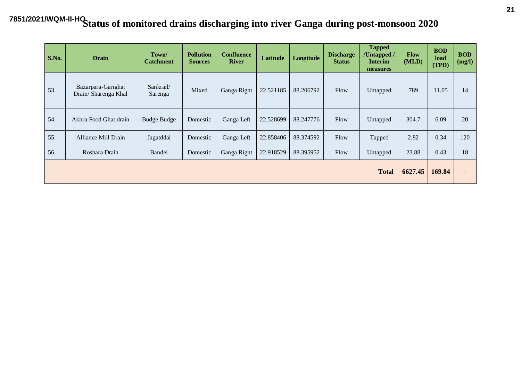| S.No. | <b>Drain</b>                               | Town/<br><b>Catchment</b> | <b>Pollution</b><br><b>Sources</b> | <b>Confluence</b><br><b>River</b> | Latitude  | Longitude | <b>Discharge</b><br><b>Status</b> | <b>Tapped</b><br>/Untapped /<br><b>Interim</b><br>measures | <b>Flow</b><br>(MLD) | <b>BOD</b><br>load<br>(TPD) | <b>BOD</b><br>(mg/l) |
|-------|--------------------------------------------|---------------------------|------------------------------------|-----------------------------------|-----------|-----------|-----------------------------------|------------------------------------------------------------|----------------------|-----------------------------|----------------------|
| 53.   | Bazarpara-Garighat<br>Drain/ Sharenga Khal | Sankrail/<br>Sarenga      | Mixed                              | Ganga Right                       | 22.521185 | 88.206792 | Flow                              | Untapped                                                   | 789                  | 11.05                       | 14                   |
| 54.   | Akhra Food Ghat drain                      | <b>Budge Budge</b>        | Domestic                           | Ganga Left                        | 22.528699 | 88.247776 | Flow                              | Untapped                                                   | 304.7                | 6.09                        | 20                   |
| 55.   | <b>Alliance Mill Drain</b>                 | Jagatddal                 | Domestic                           | Ganga Left                        | 22.858406 | 88.374592 | Flow                              | Tapped                                                     | 2.82                 | 0.34                        | 120                  |
| 56.   | Rosbara Drain                              | Bandel                    | Domestic                           | Ganga Right                       | 22.918529 | 88.395952 | Flow                              | Untapped                                                   | 23.88                | 0.43                        | 18                   |
|       |                                            |                           |                                    |                                   |           |           |                                   | <b>Total</b>                                               | 6627.45              | 169.84                      |                      |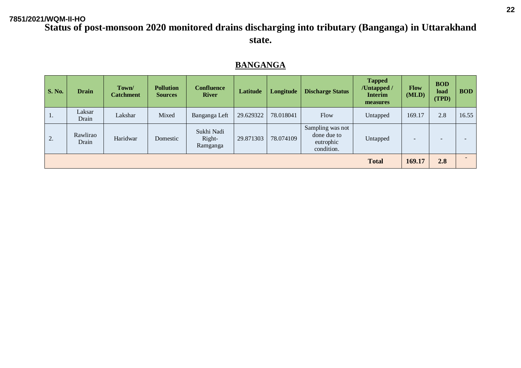#### **Status of post-monsoon 2020 monitored drains discharging into tributary (Banganga) in Uttarakhand state.**

#### **BANGANGA**

| <b>S. No.</b> | <b>Drain</b>      | Town/<br><b>Catchment</b> | <b>Pollution</b><br><b>Sources</b> | <b>Confluence</b><br><b>River</b> | Latitude  | Longitude | <b>Discharge Status</b>                                    | <b>Tapped</b><br>/Untapped/<br><b>Interim</b><br>measures | <b>Flow</b><br>(MLD) | <b>BOD</b><br>load<br>(TPD) | <b>BOD</b> |
|---------------|-------------------|---------------------------|------------------------------------|-----------------------------------|-----------|-----------|------------------------------------------------------------|-----------------------------------------------------------|----------------------|-----------------------------|------------|
| $\perp$ .     | Laksar<br>Drain   | Lakshar                   | Mixed                              | Banganga Left                     | 29.629322 | 78.018041 | Flow                                                       | Untapped                                                  | 169.17               | 2.8                         | 16.55      |
| 2.            | Rawlirao<br>Drain | Haridwar                  | Domestic                           | Sukhi Nadi<br>Right-<br>Ramganga  | 29.871303 | 78.074109 | Sampling was not<br>done due to<br>eutrophic<br>condition. | Untapped                                                  |                      |                             |            |
|               |                   |                           |                                    |                                   |           |           |                                                            | <b>Total</b>                                              | 169.17               | 2.8                         |            |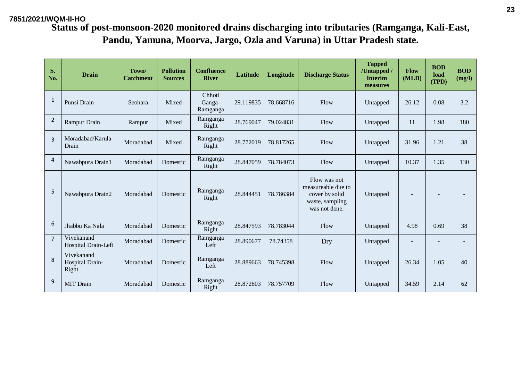| S.<br>No.      | <b>Drain</b>                           | Town/<br><b>Catchment</b> | <b>Pollution</b><br><b>Sources</b> | <b>Confluence</b><br><b>River</b> | Latitude  | Longitude | <b>Discharge Status</b>                                                                  | <b>Tapped</b><br>/Untapped /<br><b>Interim</b><br>measures | Flow<br>(MLD) | <b>BOD</b><br>load<br>(TPD) | <b>BOD</b><br>(mg/l) |
|----------------|----------------------------------------|---------------------------|------------------------------------|-----------------------------------|-----------|-----------|------------------------------------------------------------------------------------------|------------------------------------------------------------|---------------|-----------------------------|----------------------|
| 1              | Punsi Drain                            | Seohara                   | Mixed                              | Chhoti<br>Ganga-<br>Ramganga      | 29.119835 | 78.668716 | Flow                                                                                     | Untapped                                                   | 26.12         | 0.08                        | 3.2                  |
| $\overline{2}$ | Rampur Drain                           | Rampur                    | Mixed                              | Ramganga<br>Right                 | 28.769047 | 79.024831 | Flow                                                                                     | Untapped                                                   | 11            | 1.98                        | 180                  |
| $\mathbf{3}$   | Moradabad/Karula<br>Drain              | Moradabad                 | Mixed                              | Ramganga<br>Right                 | 28.772019 | 78.817265 | Flow                                                                                     | Untapped                                                   | 31.96         | 1.21                        | 38                   |
| $\overline{4}$ | Nawabpura Drain1                       | Moradabad                 | Domestic                           | Ramganga<br>Right                 | 28.847059 | 78.784073 | Flow                                                                                     | Untapped                                                   | 10.37         | 1.35                        | 130                  |
| 5              | Nawabpura Drain2                       | Moradabad                 | Domestic                           | Ramganga<br>Right                 | 28.844451 | 78.786384 | Flow was not<br>measureable due to<br>cover by solid<br>waste, sampling<br>was not done. | Untapped                                                   |               |                             |                      |
| 6              | Jhabbu Ka Nala                         | Moradabad                 | Domestic                           | Ramganga<br>Right                 | 28.847593 | 78.783044 | Flow                                                                                     | Untapped                                                   | 4.98          | 0.69                        | 38                   |
| $\overline{7}$ | Vivekanand<br>Hospital Drain-Left      | Moradabad                 | Domestic                           | Ramganga<br>Left                  | 28.890677 | 78.74358  | Dry                                                                                      | Untapped                                                   |               | $\overline{\phantom{a}}$    |                      |
| 8              | Vivekanand<br>Hospital Drain-<br>Right | Moradabad                 | Domestic                           | Ramganga<br>Left                  | 28.889663 | 78.745398 | Flow                                                                                     | Untapped                                                   | 26.34         | 1.05                        | 40                   |
| 9              | <b>MIT</b> Drain                       | Moradabad                 | Domestic                           | Ramganga<br>Right                 | 28.872603 | 78.757709 | Flow                                                                                     | Untapped                                                   | 34.59         | 2.14                        | 62                   |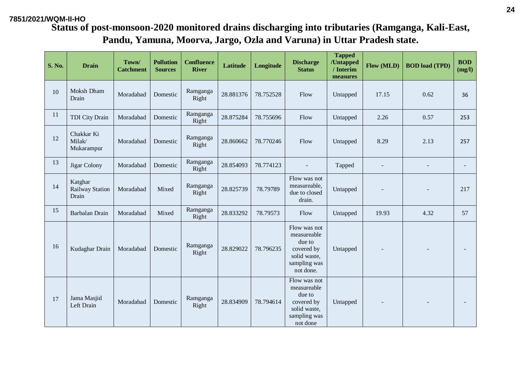#### **7851/2021/WQM-II-HO**

| <b>S. No.</b> | <b>Drain</b>                               | Town/<br><b>Catchment</b> | <b>Pollution</b><br><b>Sources</b> | <b>Confluence</b><br><b>River</b> | Latitude  | Longitude | <b>Discharge</b><br><b>Status</b>                                                                | <b>Tapped</b><br>/Untapped<br>/ Interim<br>measures | Flow (MLD) | <b>BOD</b> load (TPD) | <b>BOD</b><br>(mg/l) |
|---------------|--------------------------------------------|---------------------------|------------------------------------|-----------------------------------|-----------|-----------|--------------------------------------------------------------------------------------------------|-----------------------------------------------------|------------|-----------------------|----------------------|
| 10            | Moksh Dham<br>Drain                        | Moradabad                 | Domestic                           | Ramganga<br>Right                 | 28.881376 | 78.752528 | Flow                                                                                             | Untapped                                            | 17.15      | 0.62                  | 36                   |
| 11            | <b>TDI City Drain</b>                      | Moradabad                 | Domestic                           | Ramganga<br>Right                 | 28.875284 | 78.755696 | Flow                                                                                             | Untapped                                            | 2.26       | 0.57                  | 253                  |
| 12            | Chakkar Ki<br>Milak/<br>Mukarampur         | Moradabad                 | Domestic                           | Ramganga<br>Right                 | 28.860662 | 78.770246 | Flow                                                                                             | Untapped                                            | 8.29       | 2.13                  | 257                  |
| 13            | Jigar Colony                               | Moradabad                 | Domestic                           | Ramganga<br>Right                 | 28.854093 | 78.774123 |                                                                                                  | Tapped                                              |            |                       |                      |
| 14            | Katghar<br><b>Railway Station</b><br>Drain | Moradabad                 | Mixed                              | Ramganga<br>Right                 | 28.825739 | 78.79789  | Flow was not<br>measureable,<br>due to closed<br>drain.                                          | Untapped                                            |            |                       | 217                  |
| 15            | Barbalan Drain                             | Moradabad                 | Mixed                              | Ramganga<br>Right                 | 28.833292 | 78.79573  | Flow                                                                                             | Untapped                                            | 19.93      | 4.32                  | 57                   |
| 16            | Kudaghar Drain                             | Moradabad                 | Domestic                           | Ramganga<br>Right                 | 28.829022 | 78.796235 | Flow was not<br>measureable<br>due to<br>covered by<br>solid waste,<br>sampling was<br>not done. | Untapped                                            |            |                       |                      |
| 17            | Jama Masjid<br>Left Drain                  | Moradabad                 | Domestic                           | Ramganga<br>Right                 | 28.834909 | 78.794614 | Flow was not<br>measureable<br>due to<br>covered by<br>solid waste,<br>sampling was<br>not done  | Untapped                                            |            |                       |                      |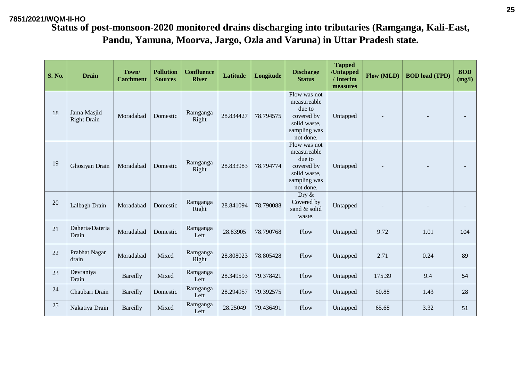| <b>S. No.</b> | <b>Drain</b>                      | Town/<br><b>Catchment</b> | <b>Pollution</b><br><b>Sources</b> | <b>Confluence</b><br><b>River</b> | <b>Latitude</b> | Longitude | <b>Discharge</b><br><b>Status</b>                                                                | <b>Tapped</b><br>/Untapped<br>/ Interim<br>measures | Flow (MLD) | <b>BOD</b> load (TPD) | <b>BOD</b><br>(mg/l) |
|---------------|-----------------------------------|---------------------------|------------------------------------|-----------------------------------|-----------------|-----------|--------------------------------------------------------------------------------------------------|-----------------------------------------------------|------------|-----------------------|----------------------|
| 18            | Jama Masjid<br><b>Right Drain</b> | Moradabad                 | Domestic                           | Ramganga<br>Right                 | 28.834427       | 78.794575 | Flow was not<br>measureable<br>due to<br>covered by<br>solid waste,<br>sampling was<br>not done. | Untapped                                            |            |                       |                      |
| 19            | Ghosiyan Drain                    | Moradabad                 | Domestic                           | Ramganga<br>Right                 | 28.833983       | 78.794774 | Flow was not<br>measureable<br>due to<br>covered by<br>solid waste,<br>sampling was<br>not done. | Untapped                                            |            |                       |                      |
| 20            | Lalbagh Drain                     | Moradabad                 | Domestic                           | Ramganga<br>Right                 | 28.841094       | 78.790088 | Dry $\&$<br>Covered by<br>sand & solid<br>waste.                                                 | Untapped                                            |            |                       |                      |
| 21            | Daheria/Dateria<br>Drain          | Moradabad                 | Domestic                           | Ramganga<br>Left                  | 28.83905        | 78.790768 | Flow                                                                                             | Untapped                                            | 9.72       | 1.01                  | 104                  |
| 22            | Prabhat Nagar<br>drain            | Moradabad                 | Mixed                              | Ramganga<br>Right                 | 28.808023       | 78.805428 | Flow                                                                                             | Untapped                                            | 2.71       | 0.24                  | 89                   |
| 23            | Devraniya<br>Drain                | Bareilly                  | Mixed                              | Ramganga<br>Left                  | 28.349593       | 79.378421 | Flow                                                                                             | Untapped                                            | 175.39     | 9.4                   | 54                   |
| 24            | Chaubari Drain                    | Bareilly                  | Domestic                           | Ramganga<br>Left                  | 28.294957       | 79.392575 | Flow                                                                                             | Untapped                                            | 50.88      | 1.43                  | 28                   |
| 25            | Nakatiya Drain                    | Bareilly                  | Mixed                              | Ramganga<br>Left                  | 28.25049        | 79.436491 | Flow                                                                                             | Untapped                                            | 65.68      | 3.32                  | 51                   |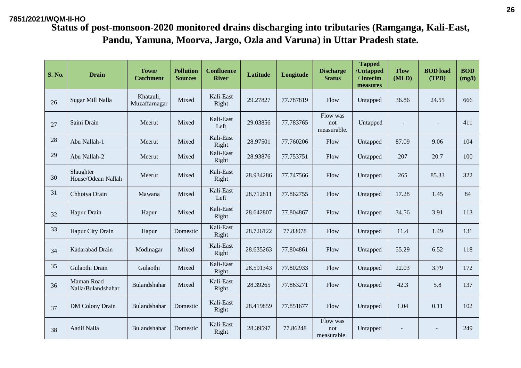| <b>S. No.</b> | <b>Drain</b>                     | Town/<br><b>Catchment</b>  | <b>Pollution</b><br><b>Sources</b> | <b>Confluence</b><br><b>River</b> | <b>Latitude</b> | Longitude | <b>Discharge</b><br><b>Status</b> | <b>Tapped</b><br>/Untapped<br>/ Interim<br>measures | Flow<br>(MLD) | <b>BOD</b> load<br>(TPD) | <b>BOD</b><br>(mg/l) |
|---------------|----------------------------------|----------------------------|------------------------------------|-----------------------------------|-----------------|-----------|-----------------------------------|-----------------------------------------------------|---------------|--------------------------|----------------------|
| 26            | Sugar Mill Nalla                 | Khatauli,<br>Muzaffarnagar | Mixed                              | Kali-East<br>Right                | 29.27827        | 77.787819 | Flow                              | Untapped                                            | 36.86         | 24.55                    | 666                  |
| 27            | Saini Drain                      | Meerut                     | Mixed                              | Kali-East<br>Left                 | 29.03856        | 77.783765 | Flow was<br>not<br>measurable.    | Untapped                                            |               |                          | 411                  |
| 28            | Abu Nallah-1                     | Meerut                     | Mixed                              | Kali-East<br>Right                | 28.97501        | 77.760206 | Flow                              | Untapped                                            | 87.09         | 9.06                     | 104                  |
| 29            | Abu Nallah-2                     | Meerut                     | Mixed                              | Kali-East<br>Right                | 28.93876        | 77.753751 | Flow                              | Untapped                                            | 207           | 20.7                     | 100                  |
| 30            | Slaughter<br>House/Odean Nallah  | Meerut                     | Mixed                              | Kali-East<br>Right                | 28.934286       | 77.747566 | Flow                              | Untapped                                            | 265           | 85.33                    | 322                  |
| 31            | Chhoiya Drain                    | Mawana                     | Mixed                              | Kali-East<br>Left                 | 28.712811       | 77.862755 | Flow                              | Untapped                                            | 17.28         | 1.45                     | 84                   |
| 32            | Hapur Drain                      | Hapur                      | Mixed                              | Kali-East<br>Right                | 28.642807       | 77.804867 | Flow                              | Untapped                                            | 34.56         | 3.91                     | 113                  |
| 33            | Hapur City Drain                 | Hapur                      | Domestic                           | Kali-East<br>Right                | 28.726122       | 77.83078  | Flow                              | Untapped                                            | 11.4          | 1.49                     | 131                  |
| 34            | Kadarabad Drain                  | Modinagar                  | Mixed                              | Kali-East<br>Right                | 28.635263       | 77.804861 | Flow                              | Untapped                                            | 55.29         | 6.52                     | 118                  |
| 35            | Gulaothi Drain                   | Gulaothi                   | Mixed                              | Kali-East<br>Right                | 28.591343       | 77.802933 | Flow                              | Untapped                                            | 22.03         | 3.79                     | 172                  |
| 36            | Maman Road<br>Nalla/Bulandshahar | Bulandshahar               | Mixed                              | Kali-East<br>Right                | 28.39265        | 77.863271 | Flow                              | Untapped                                            | 42.3          | 5.8                      | 137                  |
| 37            | <b>DM</b> Colony Drain           | Bulandshahar               | Domestic                           | Kali-East<br>Right                | 28.419859       | 77.851677 | Flow                              | Untapped                                            | 1.04          | 0.11                     | 102                  |
| 38            | Aadil Nalla                      | Bulandshahar               | Domestic                           | Kali-East<br>Right                | 28.39597        | 77.86248  | Flow was<br>not<br>measurable.    | Untapped                                            |               |                          | 249                  |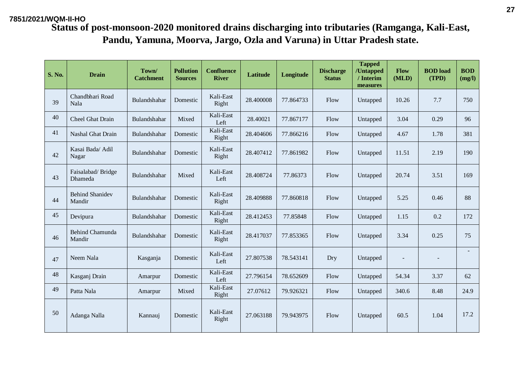| <b>S. No.</b> | <b>Drain</b>                     | Town/<br><b>Catchment</b> | <b>Pollution</b><br><b>Sources</b> | <b>Confluence</b><br><b>River</b> | Latitude  | Longitude | <b>Discharge</b><br><b>Status</b> | <b>Tapped</b><br>/Untapped<br>/ Interim<br>measures | Flow<br>(MLD) | <b>BOD</b> load<br>(TPD) | <b>BOD</b><br>(mg/l) |
|---------------|----------------------------------|---------------------------|------------------------------------|-----------------------------------|-----------|-----------|-----------------------------------|-----------------------------------------------------|---------------|--------------------------|----------------------|
| 39            | Chandbhari Road<br>Nala          | Bulandshahar              | Domestic                           | Kali-East<br>Right                | 28.400008 | 77.864733 | Flow                              | Untapped                                            | 10.26         | 7.7                      | 750                  |
| 40            | Cheel Ghat Drain                 | Bulandshahar              | Mixed                              | Kali-East<br>Left                 | 28.40021  | 77.867177 | Flow                              | Untapped                                            | 3.04          | 0.29                     | 96                   |
| 41            | Nashal Ghat Drain                | Bulandshahar              | Domestic                           | Kali-East<br>Right                | 28.404606 | 77.866216 | Flow                              | Untapped                                            | 4.67          | 1.78                     | 381                  |
| 42            | Kasai Bada/ Adil<br>Nagar        | Bulandshahar              | Domestic                           | Kali-East<br>Right                | 28.407412 | 77.861982 | Flow                              | Untapped                                            | 11.51         | 2.19                     | 190                  |
| 43            | Faisalabad/Bridge<br>Dhameda     | Bulandshahar              | Mixed                              | Kali-East<br>Left                 | 28.408724 | 77.86373  | Flow                              | Untapped                                            | 20.74         | 3.51                     | 169                  |
| 44            | <b>Behind Shanidev</b><br>Mandir | Bulandshahar              | Domestic                           | Kali-East<br>Right                | 28.409888 | 77.860818 | Flow                              | Untapped                                            | 5.25          | 0.46                     | 88                   |
| 45            | Devipura                         | Bulandshahar              | Domestic                           | Kali-East<br>Right                | 28.412453 | 77.85848  | Flow                              | Untapped                                            | 1.15          | 0.2                      | 172                  |
| 46            | Behind Chamunda<br>Mandir        | Bulandshahar              | Domestic                           | Kali-East<br>Right                | 28.417037 | 77.853365 | Flow                              | Untapped                                            | 3.34          | 0.25                     | 75                   |
| 47            | Neem Nala                        | Kasganja                  | Domestic                           | Kali-East<br>Left                 | 27.807538 | 78.543141 | Dry                               | Untapped                                            |               |                          | $\sim$               |
| 48            | Kasganj Drain                    | Amarpur                   | Domestic                           | Kali-East<br>Left                 | 27.796154 | 78.652609 | Flow                              | Untapped                                            | 54.34         | 3.37                     | 62                   |
| 49            | Patta Nala                       | Amarpur                   | Mixed                              | Kali-East<br>Right                | 27.07612  | 79.926321 | Flow                              | Untapped                                            | 340.6         | 8.48                     | 24.9                 |
| 50            | Adanga Nalla                     | Kannauj                   | Domestic                           | Kali-East<br>Right                | 27.063188 | 79.943975 | Flow                              | Untapped                                            | 60.5          | 1.04                     | 17.2                 |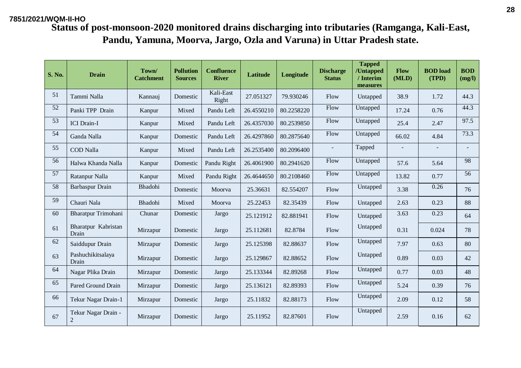**Status of post-monsoon-2020 monitored drains discharging into tributaries (Ramganga, Kali-East, Pandu, Yamuna, Moorva, Jargo, Ozla and Varuna) in Uttar Pradesh state.**

| <b>S. No.</b> | <b>Drain</b>                          | Town/<br><b>Catchment</b> | <b>Pollution</b><br><b>Sources</b> | <b>Confluence</b><br><b>River</b> | <b>Latitude</b> | Longitude  | <b>Discharge</b><br><b>Status</b> | <b>Tapped</b><br>/Untapped<br>/ Interim<br>measures | Flow<br>(MLD)            | <b>BOD</b> load<br>(TPD) | <b>BOD</b><br>(mg/l) |
|---------------|---------------------------------------|---------------------------|------------------------------------|-----------------------------------|-----------------|------------|-----------------------------------|-----------------------------------------------------|--------------------------|--------------------------|----------------------|
| 51            | Tammi Nalla                           | Kannauj                   | Domestic                           | Kali-East<br>Right                | 27.051327       | 79.930246  | Flow                              | Untapped                                            | 38.9                     | 1.72                     | 44.3                 |
| 52            | Panki TPP Drain                       | Kanpur                    | Mixed                              | Pandu Left                        | 26.4550210      | 80.2258220 | Flow                              | Untapped                                            | 17.24                    | 0.76                     | 44.3                 |
| 53            | <b>ICI</b> Drain-I                    | Kanpur                    | Mixed                              | Pandu Left                        | 26.4357030      | 80.2539850 | Flow                              | Untapped                                            | 25.4                     | 2.47                     | 97.5                 |
| 54            | Ganda Nalla                           | Kanpur                    | Domestic                           | Pandu Left                        | 26.4297860      | 80.2875640 | Flow                              | Untapped                                            | 66.02                    | 4.84                     | 73.3                 |
| 55            | <b>COD</b> Nalla                      | Kanpur                    | Mixed                              | Pandu Left                        | 26.2535400      | 80.2096400 |                                   | Tapped                                              | $\overline{\phantom{a}}$ | $\blacksquare$           |                      |
| 56            | Halwa Khanda Nalla                    | Kanpur                    | Domestic                           | Pandu Right                       | 26.4061900      | 80.2941620 | Flow                              | Untapped                                            | 57.6                     | 5.64                     | 98                   |
| 57            | Ratanpur Nalla                        | Kanpur                    | Mixed                              | Pandu Right                       | 26.4644650      | 80.2108460 | Flow                              | Untapped                                            | 13.82                    | 0.77                     | 56                   |
| 58            | Barbaspur Drain                       | Bhadohi                   | Domestic                           | Moorva                            | 25.36631        | 82.554207  | Flow                              | Untapped                                            | 3.38                     | 0.26                     | 76                   |
| 59            | Chauri Nala                           | Bhadohi                   | Mixed                              | Moorva                            | 25.22453        | 82.35439   | Flow                              | Untapped                                            | 2.63                     | 0.23                     | 88                   |
| 60            | Bharatpur Trimohani                   | Chunar                    | Domestic                           | Jargo                             | 25.121912       | 82.881941  | Flow                              | Untapped                                            | 3.63                     | 0.23                     | 64                   |
| 61            | Bharatpur Kabristan<br>Drain          | Mirzapur                  | Domestic                           | Jargo                             | 25.112681       | 82.8784    | Flow                              | Untapped                                            | 0.31                     | 0.024                    | 78                   |
| 62            | Saiddupur Drain                       | Mirzapur                  | Domestic                           | Jargo                             | 25.125398       | 82.88637   | Flow                              | Untapped                                            | 7.97                     | 0.63                     | 80                   |
| 63            | Pashuchikitsalaya<br>Drain            | Mirzapur                  | Domestic                           | Jargo                             | 25.129867       | 82.88652   | Flow                              | Untapped                                            | 0.89                     | 0.03                     | 42                   |
| 64            | Nagar Plika Drain                     | Mirzapur                  | Domestic                           | Jargo                             | 25.133344       | 82.89268   | Flow                              | Untapped                                            | 0.77                     | 0.03                     | 48                   |
| 65            | Pared Ground Drain                    | Mirzapur                  | Domestic                           | Jargo                             | 25.136121       | 82.89393   | Flow                              | Untapped                                            | 5.24                     | 0.39                     | 76                   |
| 66            | Tekur Nagar Drain-1                   | Mirzapur                  | Domestic                           | Jargo                             | 25.11832        | 82.88173   | Flow                              | Untapped                                            | 2.09                     | 0.12                     | 58                   |
| 67            | Tekur Nagar Drain -<br>$\overline{2}$ | Mirzapur                  | Domestic                           | Jargo                             | 25.11952        | 82.87601   | Flow                              | Untapped                                            | 2.59                     | 0.16                     | 62                   |